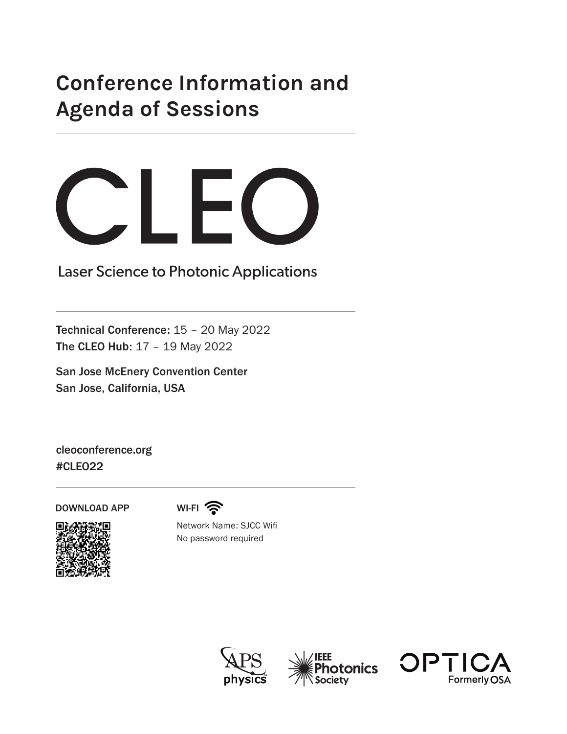## **Conference Information and Agenda of Sessions**



Laser Science to Photonic Applications

Technical Conference: 15 – 20 May 2022 The CLEO Hub: 17 – 19 May 2022

San Jose McEnery Convention Center San Jose, California, USA

cleoconference.org #CLEO22

DOWNLOAD APP



WI-FI ?

Network Name: SJCC Wifi No password required





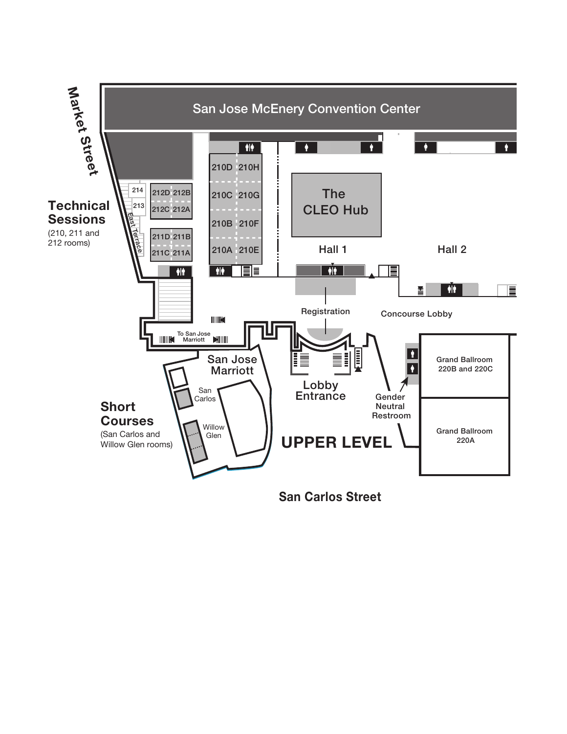

**San Carlos Street**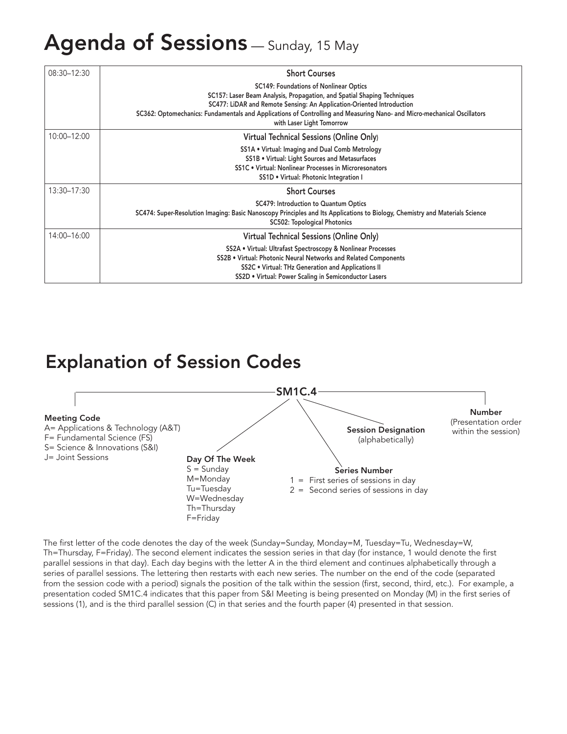## Agenda of Sessions - Sunday, 15 May

| $08:30 - 12:30$ | <b>Short Courses</b>                                                                                                                                                                                                                                                                                                                                      |
|-----------------|-----------------------------------------------------------------------------------------------------------------------------------------------------------------------------------------------------------------------------------------------------------------------------------------------------------------------------------------------------------|
|                 | <b>SC149: Foundations of Nonlinear Optics</b><br>SC157: Laser Beam Analysis, Propagation, and Spatial Shaping Techniques<br>SC477: LiDAR and Remote Sensing: An Application-Oriented Introduction<br>SC362: Optomechanics: Fundamentals and Applications of Controlling and Measuring Nano- and Micro-mechanical Oscillators<br>with Laser Light Tomorrow |
| 10:00-12:00     | Virtual Technical Sessions (Online Only)                                                                                                                                                                                                                                                                                                                  |
|                 | SS1A . Virtual: Imaging and Dual Comb Metrology<br>SS1B . Virtual: Light Sources and Metasurfaces<br>SS1C . Virtual: Nonlinear Processes in Microresonators<br>SS1D . Virtual: Photonic Integration I                                                                                                                                                     |
| 13:30-17:30     | <b>Short Courses</b>                                                                                                                                                                                                                                                                                                                                      |
|                 | SC479: Introduction to Quantum Optics<br>SC474: Super-Resolution Imaging: Basic Nanoscopy Principles and Its Applications to Biology, Chemistry and Materials Science<br><b>SC502: Topological Photonics</b>                                                                                                                                              |
| 14:00-16:00     | Virtual Technical Sessions (Online Only)                                                                                                                                                                                                                                                                                                                  |
|                 | SS2A . Virtual: Ultrafast Spectroscopy & Nonlinear Processes<br>SS2B . Virtual: Photonic Neural Networks and Related Components<br>SS2C . Virtual: THz Generation and Applications II<br>SS2D . Virtual: Power Scaling in Semiconductor Lasers                                                                                                            |

## Explanation of Session Codes



The first letter of the code denotes the day of the week (Sunday=Sunday, Monday=M, Tuesday=Tu, Wednesday=W, Th=Thursday, F=Friday). The second element indicates the session series in that day (for instance, 1 would denote the first parallel sessions in that day). Each day begins with the letter A in the third element and continues alphabetically through a series of parallel sessions. The lettering then restarts with each new series. The number on the end of the code (separated from the session code with a period) signals the position of the talk within the session (first, second, third, etc.). For example, a presentation coded SM1C.4 indicates that this paper from S&I Meeting is being presented on Monday (M) in the first series of sessions (1), and is the third parallel session (C) in that series and the fourth paper (4) presented in that session.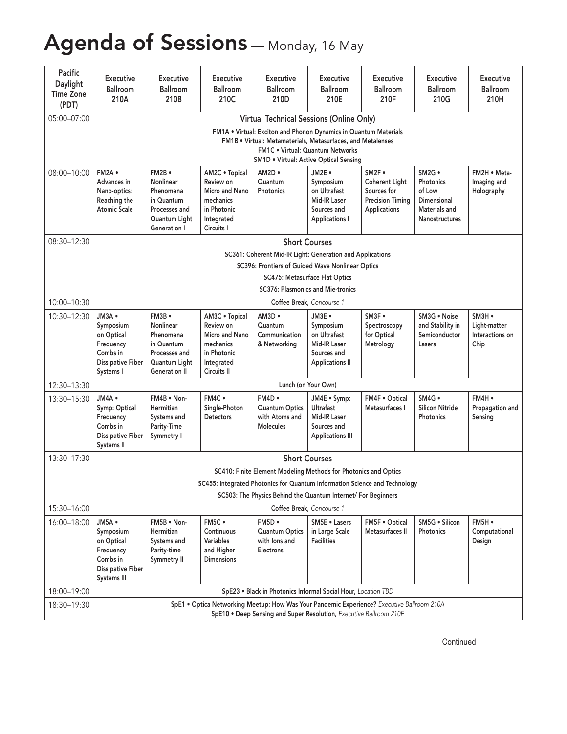# Agenda of Sessions - Monday, 16 May

| Pacific<br>Daylight<br><b>Time Zone</b><br>(PDT) | Executive<br>Ballroom<br>210A                                                                         | Executive<br>Ballroom<br>210B                                                                            | Executive<br>Ballroom<br>210C                                                                          | <b>Executive</b><br>Ballroom<br>210D                                                                                                                                             | Executive<br>Ballroom<br>210E                                                                | Executive<br>Ballroom<br>210F                                                             | <b>Executive</b><br>Ballroom<br>210G                                            | <b>Executive</b><br>Ballroom<br>210H                      |  |  |  |  |  |
|--------------------------------------------------|-------------------------------------------------------------------------------------------------------|----------------------------------------------------------------------------------------------------------|--------------------------------------------------------------------------------------------------------|----------------------------------------------------------------------------------------------------------------------------------------------------------------------------------|----------------------------------------------------------------------------------------------|-------------------------------------------------------------------------------------------|---------------------------------------------------------------------------------|-----------------------------------------------------------|--|--|--|--|--|
| 05:00-07:00                                      |                                                                                                       |                                                                                                          |                                                                                                        | <b>Virtual Technical Sessions (Online Only)</b>                                                                                                                                  |                                                                                              |                                                                                           |                                                                                 |                                                           |  |  |  |  |  |
|                                                  |                                                                                                       |                                                                                                          |                                                                                                        | FM1A . Virtual: Exciton and Phonon Dynamics in Quantum Materials<br>FM1B . Virtual: Metamaterials, Metasurfaces, and Metalenses<br><b>SM1D . Virtual: Active Optical Sensing</b> | FM1C . Virtual: Quantum Networks                                                             |                                                                                           |                                                                                 |                                                           |  |  |  |  |  |
| 08:00-10:00   FM2A .                             | Advances in<br>Nano-optics:<br>Reaching the<br><b>Atomic Scale</b>                                    | FM2B ·<br>Nonlinear<br>Phenomena<br>in Quantum<br>Processes and<br>Quantum Light<br>Generation I         | AM2C . Topical<br>Review on<br>Micro and Nano<br>mechanics<br>in Photonic<br>Integrated<br>Circuits I  | AM2D .<br>Quantum<br>Photonics                                                                                                                                                   | JM2E .<br>Symposium<br>on Ultrafast<br>Mid-IR Laser<br>Sources and<br><b>Applications I</b>  | SM2F .<br><b>Coherent Light</b><br>Sources for<br><b>Precision Timing</b><br>Applications | SM2G .<br>Photonics<br>of Low<br>Dimensional<br>Materials and<br>Nanostructures | FM2H . Meta-<br>Imaging and<br>Holography                 |  |  |  |  |  |
| 08:30-12:30                                      |                                                                                                       |                                                                                                          |                                                                                                        |                                                                                                                                                                                  | <b>Short Courses</b>                                                                         |                                                                                           |                                                                                 |                                                           |  |  |  |  |  |
|                                                  |                                                                                                       |                                                                                                          |                                                                                                        | SC361: Coherent Mid-IR Light: Generation and Applications                                                                                                                        |                                                                                              |                                                                                           |                                                                                 |                                                           |  |  |  |  |  |
|                                                  |                                                                                                       |                                                                                                          |                                                                                                        | SC396: Frontiers of Guided Wave Nonlinear Optics                                                                                                                                 | SC475: Metasurface Flat Optics                                                               |                                                                                           |                                                                                 |                                                           |  |  |  |  |  |
|                                                  |                                                                                                       |                                                                                                          |                                                                                                        |                                                                                                                                                                                  | SC376: Plasmonics and Mie-tronics                                                            |                                                                                           |                                                                                 |                                                           |  |  |  |  |  |
| 10:00-10:30                                      |                                                                                                       | Coffee Break, Concourse 1                                                                                |                                                                                                        |                                                                                                                                                                                  |                                                                                              |                                                                                           |                                                                                 |                                                           |  |  |  |  |  |
| 10:30-12:30                                      | JM3A ·<br>Symposium<br>on Optical<br>Frequency<br>Combs in<br><b>Dissipative Fiber</b><br>Systems I   | FM3B ·<br>Nonlinear<br>Phenomena<br>in Quantum<br>Processes and<br>Quantum Light<br><b>Generation II</b> | AM3C . Topical<br>Review on<br>Micro and Nano<br>mechanics<br>in Photonic<br>Integrated<br>Circuits II | $AM3D \bullet$<br>Quantum<br>Communication<br>& Networking                                                                                                                       | JM3E .<br>Symposium<br>on Ultrafast<br>Mid-IR Laser<br>Sources and<br><b>Applications II</b> | SM3F .<br>Spectroscopy<br>for Optical<br>Metrology                                        | SM3G . Noise<br>and Stability in<br>Semiconductor<br>Lasers                     | $SM3H \bullet$<br>Light-matter<br>Interactions on<br>Chip |  |  |  |  |  |
| 12:30-13:30                                      |                                                                                                       |                                                                                                          |                                                                                                        |                                                                                                                                                                                  | Lunch (on Your Own)                                                                          |                                                                                           |                                                                                 |                                                           |  |  |  |  |  |
| 13:30-15:30                                      | JM4A ·<br>Symp: Optical<br>Frequency<br>Combs in<br><b>Dissipative Fiber</b><br>Systems II            | FM4B . Non-<br>Hermitian<br>Systems and<br>Parity-Time<br>Symmetry I                                     | FM4C .<br>Single-Photon<br>Detectors                                                                   | FM4D .<br><b>Quantum Optics</b><br>with Atoms and<br><b>Molecules</b>                                                                                                            | JM4E · Symp:<br>Ultrafast<br>Mid-IR Laser<br>Sources and<br><b>Applications III</b>          | FM4F . Optical<br>Metasurfaces I                                                          | SM4G .<br>Silicon Nitride<br>Photonics                                          | FM4H ·<br>Propagation and<br>Sensing                      |  |  |  |  |  |
| 13:30-17:30                                      |                                                                                                       |                                                                                                          |                                                                                                        |                                                                                                                                                                                  | <b>Short Courses</b>                                                                         |                                                                                           |                                                                                 |                                                           |  |  |  |  |  |
|                                                  |                                                                                                       |                                                                                                          |                                                                                                        | SC410: Finite Element Modeling Methods for Photonics and Optics                                                                                                                  |                                                                                              |                                                                                           |                                                                                 |                                                           |  |  |  |  |  |
|                                                  |                                                                                                       |                                                                                                          | SC455: Integrated Photonics for Quantum Information Science and Technology                             | SC503: The Physics Behind the Quantum Internet/ For Beginners                                                                                                                    |                                                                                              |                                                                                           |                                                                                 |                                                           |  |  |  |  |  |
| 15:30-16:00                                      |                                                                                                       |                                                                                                          |                                                                                                        |                                                                                                                                                                                  | Coffee Break, Concourse 1                                                                    |                                                                                           |                                                                                 |                                                           |  |  |  |  |  |
| $16:00 - 18:00$                                  | JM5A ·<br>Symposium<br>on Optical<br>Frequency<br>Combs in<br><b>Dissipative Fiber</b><br>Systems III | FM5B . Non-<br>Hermitian<br>Systems and<br>Parity-time<br>Symmetry II                                    | FM5C ·<br>Continuous<br>Variables<br>and Higher<br><b>Dimensions</b>                                   | FM5D .<br>Quantum Optics<br>with lons and<br>Electrons                                                                                                                           | SM5E . Lasers<br>in Large Scale<br>Facilities                                                | FM5F . Optical<br>Metasurfaces II                                                         | SM5G · Silicon<br>Photonics                                                     | FM5H ·<br>Computational<br>Design                         |  |  |  |  |  |
| 18:00-19:00                                      |                                                                                                       |                                                                                                          |                                                                                                        | SpE23 . Black in Photonics Informal Social Hour, Location TBD                                                                                                                    |                                                                                              |                                                                                           |                                                                                 |                                                           |  |  |  |  |  |
| 18:30-19:30                                      |                                                                                                       |                                                                                                          | SpE1 . Optica Networking Meetup: How Was Your Pandemic Experience? Executive Ballroom 210A             | SpE10 . Deep Sensing and Super Resolution, Executive Ballroom 210E                                                                                                               |                                                                                              |                                                                                           |                                                                                 |                                                           |  |  |  |  |  |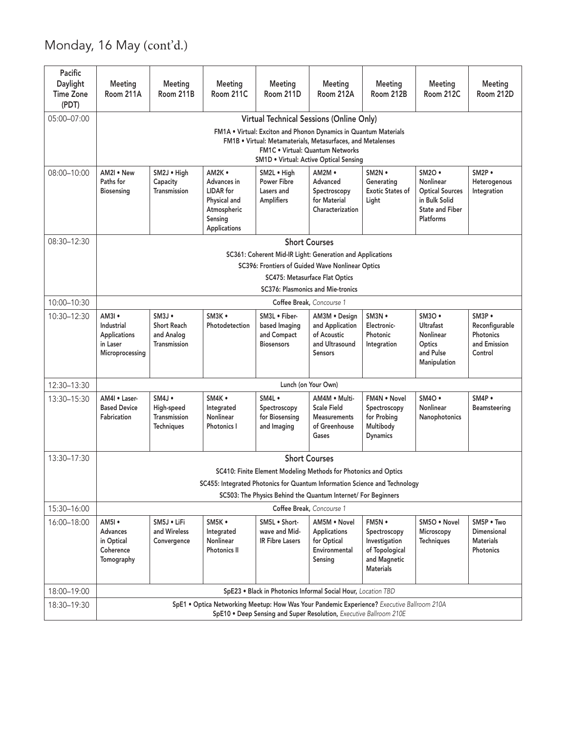### Monday, 16 May (cont'd.)

| Pacific<br>Daylight<br><b>Time Zone</b><br>(PDT) | Meeting<br>Room 211A                                                        | Meeting<br>Room 211B                                                 | Meeting<br>Room 211C                                                                                | Meeting<br>Room 211D                                               | Meeting<br>Room 212A                                                                                                                                                                                          | Meeting<br>Room 212B                                                                          | Meeting<br>Room 212C                                                                                            | Meeting<br>Room 212D                                             |
|--------------------------------------------------|-----------------------------------------------------------------------------|----------------------------------------------------------------------|-----------------------------------------------------------------------------------------------------|--------------------------------------------------------------------|---------------------------------------------------------------------------------------------------------------------------------------------------------------------------------------------------------------|-----------------------------------------------------------------------------------------------|-----------------------------------------------------------------------------------------------------------------|------------------------------------------------------------------|
| 05:00-07:00                                      |                                                                             |                                                                      |                                                                                                     |                                                                    | Virtual Technical Sessions (Online Only)                                                                                                                                                                      |                                                                                               |                                                                                                                 |                                                                  |
|                                                  |                                                                             |                                                                      |                                                                                                     |                                                                    | FM1A . Virtual: Exciton and Phonon Dynamics in Quantum Materials<br>FM1B . Virtual: Metamaterials, Metasurfaces, and Metalenses<br>FM1C . Virtual: Quantum Networks<br>SM1D . Virtual: Active Optical Sensing |                                                                                               |                                                                                                                 |                                                                  |
| 08:00-10:00                                      | AM2I . New<br>Paths for<br><b>Biosensing</b>                                | SM2J . High<br>Capacity<br>Transmission                              | AM2K .<br>Advances in<br><b>LIDAR</b> for<br>Physical and<br>Atmospheric<br>Sensing<br>Applications | SM2L . High<br>Power Fibre<br>Lasers and<br>Amplifiers             | $AM2M \cdot$<br>Advanced<br>Spectroscopy<br>for Material<br>Characterization                                                                                                                                  | $SM2N \bullet$<br>Generating<br><b>Exotic States of</b><br>Light                              | $SM2O$ $\bullet$<br>Nonlinear<br><b>Optical Sources</b><br>in Bulk Solid<br><b>State and Fiber</b><br>Platforms | $SM2P \bullet$<br>Heterogenous<br>Integration                    |
| 08:30-12:30                                      |                                                                             |                                                                      |                                                                                                     |                                                                    | <b>Short Courses</b><br>SC361: Coherent Mid-IR Light: Generation and Applications<br>SC396: Frontiers of Guided Wave Nonlinear Optics                                                                         |                                                                                               |                                                                                                                 |                                                                  |
|                                                  |                                                                             |                                                                      |                                                                                                     |                                                                    | SC475: Metasurface Flat Optics<br>SC376: Plasmonics and Mie-tronics                                                                                                                                           |                                                                                               |                                                                                                                 |                                                                  |
| 10:00-10:30                                      |                                                                             |                                                                      |                                                                                                     |                                                                    | Coffee Break, Concourse 1                                                                                                                                                                                     |                                                                                               |                                                                                                                 |                                                                  |
| 10:30-12:30                                      | $AM3I \bullet$<br>Industrial<br>Applications<br>in Laser<br>Microprocessing | $SM3J$ $\bullet$<br><b>Short Reach</b><br>and Analog<br>Transmission | SM3K .<br>Photodetection                                                                            | SM3L . Fiber-<br>based Imaging<br>and Compact<br><b>Biosensors</b> | AM3M . Design<br>and Application<br>of Acoustic<br>and Ultrasound<br><b>Sensors</b>                                                                                                                           | $SM3N \bullet$<br>Electronic-<br>Photonic<br>Integration                                      | $SM3O \bullet$<br>Ultrafast<br>Nonlinear<br>Optics<br>and Pulse<br>Manipulation                                 | SM3P .<br>Reconfigurable<br>Photonics<br>and Emission<br>Control |
| 12:30-13:30                                      |                                                                             |                                                                      |                                                                                                     |                                                                    | Lunch (on Your Own)                                                                                                                                                                                           |                                                                                               |                                                                                                                 |                                                                  |
| 13:30-15:30                                      | AM4I . Laser-<br><b>Based Device</b><br>Fabrication                         | $SM4J \bullet$<br>High-speed<br>Transmission<br><b>Techniques</b>    | SM4K .<br>Integrated<br>Nonlinear<br>Photonics I                                                    | SM4L .<br>Spectroscopy<br>for Biosensing<br>and Imaging            | AM4M . Multi-<br><b>Scale Field</b><br>Measurements<br>of Greenhouse<br>Gases                                                                                                                                 | FM4N . Novel<br>Spectroscopy<br>for Probing<br>Multibody<br><b>Dynamics</b>                   | $SM4O \bullet$<br>Nonlinear<br>Nanophotonics                                                                    | SM4P .<br>Beamsteering                                           |
| 13:30-17:30                                      |                                                                             |                                                                      | SC455: Integrated Photonics for Quantum Information Science and Technology                          |                                                                    | <b>Short Courses</b><br>SC410: Finite Element Modeling Methods for Photonics and Optics<br>SC503: The Physics Behind the Quantum Internet/ For Beginners                                                      |                                                                                               |                                                                                                                 |                                                                  |
| 15:30-16:00                                      |                                                                             |                                                                      |                                                                                                     |                                                                    | Coffee Break, Concourse 1                                                                                                                                                                                     |                                                                                               |                                                                                                                 |                                                                  |
| 16:00-18:00                                      | AM5I .<br>Advances<br>in Optical<br>Coherence<br>Tomography                 | SM5J . LiFi<br>and Wireless<br>Convergence                           | SM5K .<br>Integrated<br>Nonlinear<br>Photonics II                                                   | SM5L . Short-<br>wave and Mid-<br>IR Fibre Lasers                  | AM5M . Novel<br>Applications<br>for Optical<br>Environmental<br>Sensing                                                                                                                                       | FM5N •<br>Spectroscopy<br>Investigation<br>of Topological<br>and Magnetic<br><b>Materials</b> | SM5O . Novel<br>Microscopy<br>Techniques                                                                        | SM5P . Two<br>Dimensional<br><b>Materials</b><br>Photonics       |
| 18:00-19:00                                      |                                                                             |                                                                      |                                                                                                     |                                                                    | SpE23 . Black in Photonics Informal Social Hour, Location TBD                                                                                                                                                 |                                                                                               |                                                                                                                 |                                                                  |
| 18:30-19:30                                      |                                                                             |                                                                      | SpE1 . Optica Networking Meetup: How Was Your Pandemic Experience? Executive Ballroom 210A          |                                                                    | SpE10 . Deep Sensing and Super Resolution, Executive Ballroom 210E                                                                                                                                            |                                                                                               |                                                                                                                 |                                                                  |
|                                                  |                                                                             |                                                                      |                                                                                                     |                                                                    |                                                                                                                                                                                                               |                                                                                               |                                                                                                                 |                                                                  |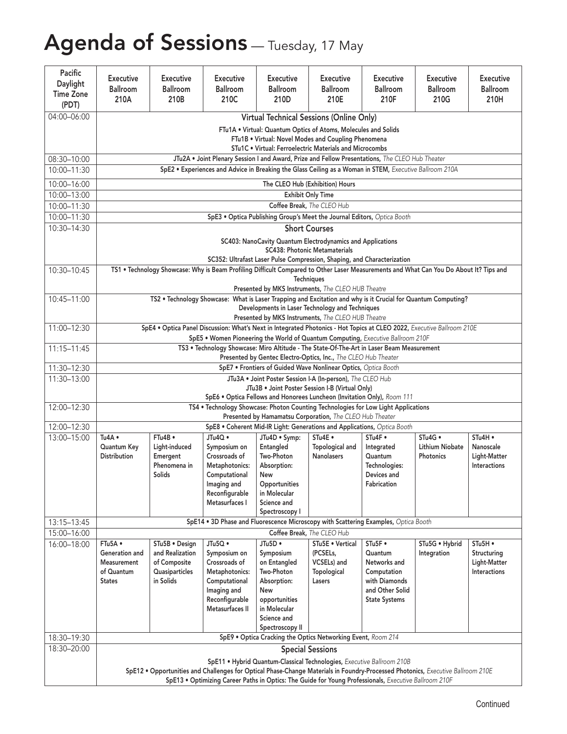## Agenda of Sessions - Tuesday, 17 May

| Pacific<br>Daylight<br><b>Time Zone</b> | Executive<br>Ballroom<br>210A                                                                                 | <b>Executive</b><br>Ballroom<br>210B | <b>Executive</b><br><b>Ballroom</b><br>210C                                                             | <b>Executive</b><br>Ballroom<br>210D | Executive<br>Ballroom<br>210E                                                                                                        | Executive<br>Ballroom<br>210F           | <b>Executive</b><br>Ballroom<br>210G                                                                                                   | Executive<br>Ballroom<br>210H |  |  |
|-----------------------------------------|---------------------------------------------------------------------------------------------------------------|--------------------------------------|---------------------------------------------------------------------------------------------------------|--------------------------------------|--------------------------------------------------------------------------------------------------------------------------------------|-----------------------------------------|----------------------------------------------------------------------------------------------------------------------------------------|-------------------------------|--|--|
| (PDT)<br>04:00-06:00                    |                                                                                                               |                                      |                                                                                                         |                                      | Virtual Technical Sessions (Online Only)                                                                                             |                                         |                                                                                                                                        |                               |  |  |
|                                         |                                                                                                               |                                      |                                                                                                         |                                      | FTu1A . Virtual: Quantum Optics of Atoms, Molecules and Solids                                                                       |                                         |                                                                                                                                        |                               |  |  |
|                                         |                                                                                                               |                                      |                                                                                                         |                                      | FTu1B . Virtual: Novel Modes and Coupling Phenomena                                                                                  |                                         |                                                                                                                                        |                               |  |  |
| $08:30 - 10:00$                         |                                                                                                               |                                      | JTu2A . Joint Plenary Session I and Award, Prize and Fellow Presentations, The CLEO Hub Theater         |                                      | STu1C . Virtual: Ferroelectric Materials and Microcombs                                                                              |                                         |                                                                                                                                        |                               |  |  |
| 10:00-11:30                             |                                                                                                               |                                      | SpE2 . Experiences and Advice in Breaking the Glass Ceiling as a Woman in STEM, Executive Ballroom 210A |                                      |                                                                                                                                      |                                         |                                                                                                                                        |                               |  |  |
| 10:00-16:00                             |                                                                                                               |                                      |                                                                                                         |                                      | The CLEO Hub (Exhibition) Hours                                                                                                      |                                         |                                                                                                                                        |                               |  |  |
| 10:00-13:00                             |                                                                                                               |                                      |                                                                                                         |                                      | <b>Exhibit Only Time</b>                                                                                                             |                                         |                                                                                                                                        |                               |  |  |
| 10:00-11:30                             |                                                                                                               |                                      |                                                                                                         |                                      | Coffee Break, The CLEO Hub                                                                                                           |                                         |                                                                                                                                        |                               |  |  |
| 10:00-11:30                             |                                                                                                               |                                      |                                                                                                         |                                      | SpE3 . Optica Publishing Group's Meet the Journal Editors, Optica Booth                                                              |                                         |                                                                                                                                        |                               |  |  |
| 10:30-14:30                             |                                                                                                               |                                      |                                                                                                         |                                      | <b>Short Courses</b>                                                                                                                 |                                         |                                                                                                                                        |                               |  |  |
|                                         |                                                                                                               |                                      |                                                                                                         |                                      | SC403: NanoCavity Quantum Electrodynamics and Applications<br><b>SC438: Photonic Metamaterials</b>                                   |                                         |                                                                                                                                        |                               |  |  |
|                                         |                                                                                                               |                                      |                                                                                                         |                                      | SC352: Ultrafast Laser Pulse Compression, Shaping, and Characterization                                                              |                                         |                                                                                                                                        |                               |  |  |
| 10:30-10:45                             |                                                                                                               |                                      |                                                                                                         |                                      |                                                                                                                                      |                                         | TS1 . Technology Showcase: Why is Beam Profiling Difficult Compared to Other Laser Measurements and What Can You Do About It? Tips and |                               |  |  |
|                                         |                                                                                                               |                                      |                                                                                                         |                                      | <b>Techniques</b>                                                                                                                    |                                         |                                                                                                                                        |                               |  |  |
| $\overline{10:}45 - 11:00$              |                                                                                                               |                                      |                                                                                                         |                                      | Presented by MKS Instruments, The CLEO HUB Theatre                                                                                   |                                         | TS2 . Technology Showcase: What is Laser Trapping and Excitation and why is it Crucial for Quantum Computing?                          |                               |  |  |
|                                         |                                                                                                               |                                      |                                                                                                         |                                      | Developments in Laser Technology and Techniques                                                                                      |                                         |                                                                                                                                        |                               |  |  |
|                                         |                                                                                                               |                                      |                                                                                                         |                                      | Presented by MKS Instruments, The CLEO HUB Theatre                                                                                   |                                         |                                                                                                                                        |                               |  |  |
| 11:00-12:30                             |                                                                                                               |                                      | SpE5 . Women Pioneering the World of Quantum Computing, Executive Ballroom 210F                         |                                      |                                                                                                                                      |                                         | SpE4 . Optica Panel Discussion: What's Next in Integrated Photonics - Hot Topics at CLEO 2022, Executive Ballroom 210E                 |                               |  |  |
| $11:15 - 11:45$                         |                                                                                                               |                                      | TS3 . Technology Showcase: Miro Altitude - The State-Of-The-Art in Laser Beam Measurement               |                                      |                                                                                                                                      |                                         |                                                                                                                                        |                               |  |  |
|                                         |                                                                                                               |                                      |                                                                                                         |                                      | Presented by Gentec Electro-Optics, Inc., The CLEO Hub Theater                                                                       |                                         |                                                                                                                                        |                               |  |  |
| 11:30-12:30                             |                                                                                                               |                                      |                                                                                                         |                                      | SpE7 . Frontiers of Guided Wave Nonlinear Optics, Optica Booth                                                                       |                                         |                                                                                                                                        |                               |  |  |
| 11:30-13:00                             | JTu3A . Joint Poster Session I-A (In-person), The CLEO Hub<br>JTu3B . Joint Poster Session I-B (Virtual Only) |                                      |                                                                                                         |                                      |                                                                                                                                      |                                         |                                                                                                                                        |                               |  |  |
|                                         |                                                                                                               |                                      |                                                                                                         |                                      | SpE6 . Optica Fellows and Honorees Luncheon (Invitation Only), Room 111                                                              |                                         |                                                                                                                                        |                               |  |  |
| 12:00-12:30                             |                                                                                                               |                                      | TS4 . Technology Showcase: Photon Counting Technologies for Low Light Applications                      |                                      |                                                                                                                                      |                                         |                                                                                                                                        |                               |  |  |
|                                         |                                                                                                               |                                      |                                                                                                         |                                      | Presented by Hamamatsu Corporation, The CLEO Hub Theater<br>SpE8 . Coherent Mid-IR Light: Generations and Applications, Optica Booth |                                         |                                                                                                                                        |                               |  |  |
| 12:00-12:30<br>13:00-15:00              | Tu4A •                                                                                                        | FTu4B ·                              | JTu4Q •                                                                                                 | JTu4D • Symp:                        | STu4E .                                                                                                                              | STu4F •                                 | STu4G ·                                                                                                                                | STu4H                         |  |  |
|                                         | Quantum Key                                                                                                   | Light-induced                        | Symposium on                                                                                            | Entangled                            | Topological and                                                                                                                      | Integrated                              | <b>Lithium Niobate</b>                                                                                                                 | Nanoscale                     |  |  |
|                                         | <b>Distribution</b>                                                                                           | Emergent                             | Crossroads of                                                                                           | Two-Photon                           | <b>Nanolasers</b>                                                                                                                    | Quantum                                 | Photonics                                                                                                                              | Light-Matter                  |  |  |
|                                         |                                                                                                               | Phenomena in<br>Solids               | Metaphotonics:<br>Computational                                                                         | Absorption:<br>New                   |                                                                                                                                      | Technologies:<br>Devices and            |                                                                                                                                        | Interactions                  |  |  |
|                                         |                                                                                                               |                                      | Imaging and                                                                                             | Opportunities                        |                                                                                                                                      | Fabrication                             |                                                                                                                                        |                               |  |  |
|                                         |                                                                                                               |                                      | Reconfigurable                                                                                          | in Molecular                         |                                                                                                                                      |                                         |                                                                                                                                        |                               |  |  |
|                                         |                                                                                                               |                                      | Metasurfaces I                                                                                          | Science and<br>Spectroscopy I        |                                                                                                                                      |                                         |                                                                                                                                        |                               |  |  |
| 13:15-13:45                             |                                                                                                               |                                      | SpE14 . 3D Phase and Fluorescence Microscopy with Scattering Examples, Optica Booth                     |                                      |                                                                                                                                      |                                         |                                                                                                                                        |                               |  |  |
| 15:00-16:00                             |                                                                                                               |                                      |                                                                                                         |                                      | Coffee Break, The CLEO Hub                                                                                                           |                                         |                                                                                                                                        |                               |  |  |
| 16:00-18:00                             | FTu5A ·                                                                                                       | STu5B · Design                       | JTu5Q ·                                                                                                 | JTu5D •                              | STu5E . Vertical                                                                                                                     | STu5F .                                 | STu5G . Hybrid                                                                                                                         | STu5H ·                       |  |  |
|                                         | Generation and                                                                                                | and Realization<br>of Composite      | Symposium on<br>Crossroads of                                                                           | Symposium<br>on Entangled            | (PCSELs,<br>VCSELs) and                                                                                                              | Quantum<br>Networks and                 | Integration                                                                                                                            | Structuring<br>Light-Matter   |  |  |
|                                         | Measurement<br>of Quantum                                                                                     | Quasiparticles                       | Metaphotonics:                                                                                          | Two-Photon                           | Topological                                                                                                                          | Computation                             |                                                                                                                                        | Interactions                  |  |  |
|                                         | <b>States</b>                                                                                                 | in Solids                            | Computational                                                                                           | Absorption:                          | Lasers                                                                                                                               | with Diamonds                           |                                                                                                                                        |                               |  |  |
|                                         |                                                                                                               |                                      | Imaging and<br>Reconfigurable                                                                           | New<br>opportunities                 |                                                                                                                                      | and Other Solid<br><b>State Systems</b> |                                                                                                                                        |                               |  |  |
|                                         |                                                                                                               |                                      | Metasurfaces II                                                                                         | in Molecular                         |                                                                                                                                      |                                         |                                                                                                                                        |                               |  |  |
|                                         |                                                                                                               |                                      |                                                                                                         | Science and                          |                                                                                                                                      |                                         |                                                                                                                                        |                               |  |  |
|                                         |                                                                                                               |                                      |                                                                                                         | Spectroscopy II                      |                                                                                                                                      |                                         |                                                                                                                                        |                               |  |  |
| 18:30-19:30                             |                                                                                                               |                                      |                                                                                                         |                                      | SpE9 . Optica Cracking the Optics Networking Event, Room 214                                                                         |                                         |                                                                                                                                        |                               |  |  |
| 18:30-20:00                             |                                                                                                               |                                      |                                                                                                         |                                      | <b>Special Sessions</b>                                                                                                              |                                         |                                                                                                                                        |                               |  |  |
|                                         |                                                                                                               |                                      |                                                                                                         |                                      | SpE11 . Hybrid Quantum-Classical Technologies, Executive Ballroom 210B                                                               |                                         | SpE12 . Opportunities and Challenges for Optical Phase-Change Materials in Foundry-Processed Photonics, Executive Ballroom 210E        |                               |  |  |
|                                         |                                                                                                               |                                      | SpE13 . Optimizing Career Paths in Optics: The Guide for Young Professionals, Executive Ballroom 210F   |                                      |                                                                                                                                      |                                         |                                                                                                                                        |                               |  |  |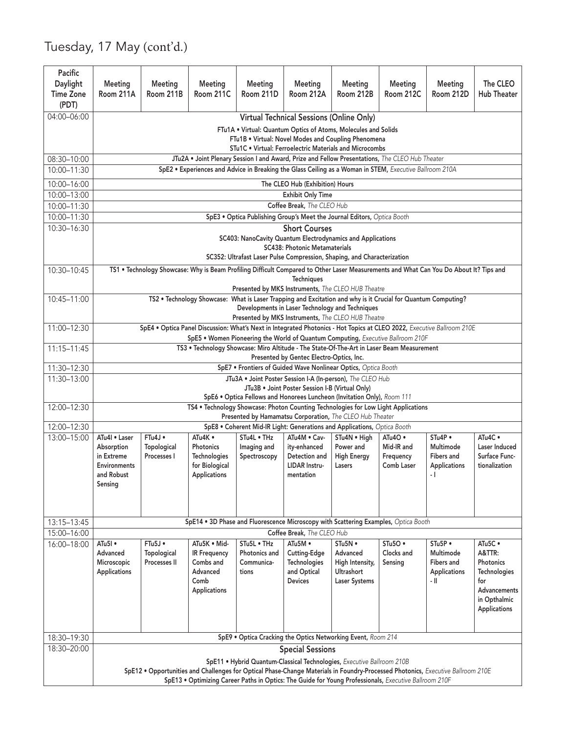### Tuesday, 17 May (cont'd.)

|                            |                                           |                        |                                |                            |                                          | SpE11 . Hybrid Quantum-Classical Technologies, Executive Ballroom 210B                                                                | SpE12 . Opportunities and Challenges for Optical Phase-Change Materials in Foundry-Processed Photonics, Executive Ballroom 210E<br>SpE13 . Optimizing Career Paths in Optics: The Guide for Young Professionals, Executive Ballroom 210F |                            |                                              |
|----------------------------|-------------------------------------------|------------------------|--------------------------------|----------------------------|------------------------------------------|---------------------------------------------------------------------------------------------------------------------------------------|------------------------------------------------------------------------------------------------------------------------------------------------------------------------------------------------------------------------------------------|----------------------------|----------------------------------------------|
| 18:30-20:00                |                                           |                        |                                |                            | <b>Special Sessions</b>                  |                                                                                                                                       |                                                                                                                                                                                                                                          |                            |                                              |
| 18:30-19:30                |                                           |                        |                                |                            |                                          | SpE9 . Optica Cracking the Optics Networking Event, Room 214                                                                          |                                                                                                                                                                                                                                          |                            |                                              |
|                            |                                           |                        | Applications                   |                            |                                          |                                                                                                                                       |                                                                                                                                                                                                                                          |                            | Advancements<br>in Opthalmic<br>Applications |
|                            | Microscopic<br>Applications               | Processes II           | Combs and<br>Advanced<br>Comb  | Communica-<br>tions        | Technologies<br>and Optical<br>Devices   | High Intensity,<br>Ultrashort<br>Laser Systems                                                                                        | Sensing                                                                                                                                                                                                                                  | Fibers and<br>Applications | Photonics<br>Technologies<br>for             |
|                            | Advanced                                  | Topological            | <b>IR Frequency</b>            | Photonics and              | Cutting-Edge                             | Advanced                                                                                                                              | Clocks and                                                                                                                                                                                                                               | Multimode                  | A&TTR:                                       |
| $16:00 - 18:00$ ATu5I •    |                                           | $FTu5J$ •              | ATu5K · Mid-                   | STu5L . THz                | ATu5M ·                                  | STu5N •                                                                                                                               | $STu5O \bullet$                                                                                                                                                                                                                          | STu5P                      | ATu5C ·                                      |
| 13:15-13:45<br>15:00-16:00 |                                           |                        |                                |                            | Coffee Break, The CLEO Hub               |                                                                                                                                       | SpE14 . 3D Phase and Fluorescence Microscopy with Scattering Examples, Optica Booth                                                                                                                                                      |                            |                                              |
|                            | and Robust<br>Sensing                     |                        | Applications                   |                            | mentation                                |                                                                                                                                       |                                                                                                                                                                                                                                          |                            |                                              |
|                            | in Extreme<br>Environments                | Processes I            | Technologies<br>for Biological | Spectroscopy               | Detection and<br><b>LIDAR Instru-</b>    | <b>High Energy</b><br>Lasers                                                                                                          | Frequency<br>Comb Laser                                                                                                                                                                                                                  | Fibers and<br>Applications | Surface Func-<br>tionalization               |
|                            | 13:00-15:00   ATu4l • Laser<br>Absorption | FTu4J •<br>Topological | ATu4K •<br>Photonics           | STu4L . THz<br>Imaging and | ity-enhanced                             | ATu4M . Cav- STu4N . High<br>Power and                                                                                                | $ATu4O \bullet$<br>Mid-IR and                                                                                                                                                                                                            | STu4P .<br>Multimode       | ATu4C .<br><b>Laser Induced</b>              |
| 12:00-12:30                |                                           |                        |                                |                            |                                          | SpE8 . Coherent Mid-IR Light: Generations and Applications, Optica Booth                                                              |                                                                                                                                                                                                                                          |                            |                                              |
| 12:00-12:30                |                                           |                        |                                |                            |                                          | Presented by Hamamatsu Corporation, The CLEO Hub Theater                                                                              | TS4 . Technology Showcase: Photon Counting Technologies for Low Light Applications                                                                                                                                                       |                            |                                              |
|                            |                                           |                        |                                |                            |                                          | SpE6 . Optica Fellows and Honorees Luncheon (Invitation Only), Room 111                                                               |                                                                                                                                                                                                                                          |                            |                                              |
| 11:30-13:00                |                                           |                        |                                |                            |                                          | JTu3A . Joint Poster Session I-A (In-person), The CLEO Hub<br>JTu3B . Joint Poster Session I-B (Virtual Only)                         |                                                                                                                                                                                                                                          |                            |                                              |
| 11:30-12:30                |                                           |                        |                                |                            |                                          | SpE7 . Frontiers of Guided Wave Nonlinear Optics, Optica Booth                                                                        |                                                                                                                                                                                                                                          |                            |                                              |
| 11:15-11:45                |                                           |                        |                                |                            | Presented by Gentec Electro-Optics, Inc. |                                                                                                                                       | TS3 . Technology Showcase: Miro Altitude - The State-Of-The-Art in Laser Beam Measurement                                                                                                                                                |                            |                                              |
| 11:00-12:30                |                                           |                        |                                |                            |                                          |                                                                                                                                       | SpE4 . Optica Panel Discussion: What's Next in Integrated Photonics - Hot Topics at CLEO 2022, Executive Ballroom 210E<br>SpE5 . Women Pioneering the World of Quantum Computing, Executive Ballroom 210F                                |                            |                                              |
|                            |                                           |                        |                                |                            |                                          | Developments in Laser Technology and Techniques<br>Presented by MKS Instruments, The CLEO HUB Theatre                                 |                                                                                                                                                                                                                                          |                            |                                              |
| 10:45-11:00                |                                           |                        |                                |                            | Techniques                               | Presented by MKS Instruments, The CLEO HUB Theatre                                                                                    | TS2 . Technology Showcase: What is Laser Trapping and Excitation and why is it Crucial for Quantum Computing?                                                                                                                            |                            |                                              |
| 10:30-10:45                |                                           |                        |                                |                            |                                          |                                                                                                                                       | TS1 . Technology Showcase: Why is Beam Profiling Difficult Compared to Other Laser Measurements and What Can You Do About It? Tips and                                                                                                   |                            |                                              |
|                            |                                           |                        |                                |                            | <b>SC438: Photonic Metamaterials</b>     | SC403: NanoCavity Quantum Electrodynamics and Applications<br>SC352: Ultrafast Laser Pulse Compression, Shaping, and Characterization |                                                                                                                                                                                                                                          |                            |                                              |
| 10:00-11:30<br>10:30-16:30 |                                           |                        |                                |                            | <b>Short Courses</b>                     | SpE3 . Optica Publishing Group's Meet the Journal Editors, Optica Booth                                                               |                                                                                                                                                                                                                                          |                            |                                              |
| 10:00-11:30                |                                           |                        |                                |                            | Coffee Break, The CLEO Hub               |                                                                                                                                       |                                                                                                                                                                                                                                          |                            |                                              |
| 10:00-13:00                |                                           |                        |                                |                            | <b>Exhibit Only Time</b>                 |                                                                                                                                       |                                                                                                                                                                                                                                          |                            |                                              |
| 10:00-16:00                |                                           |                        |                                |                            | The CLEO Hub (Exhibition) Hours          |                                                                                                                                       |                                                                                                                                                                                                                                          |                            |                                              |
| 10:00-11:30                |                                           |                        |                                |                            |                                          |                                                                                                                                       | SpE2 . Experiences and Advice in Breaking the Glass Ceiling as a Woman in STEM, Executive Ballroom 210A                                                                                                                                  |                            |                                              |
| 08:30-10:00                |                                           |                        |                                |                            |                                          | STu1C . Virtual: Ferroelectric Materials and Microcombs                                                                               | JTu2A . Joint Plenary Session I and Award, Prize and Fellow Presentations, The CLEO Hub Theater                                                                                                                                          |                            |                                              |
|                            |                                           |                        |                                |                            |                                          | FTu1A . Virtual: Quantum Optics of Atoms, Molecules and Solids<br>FTu1B . Virtual: Novel Modes and Coupling Phenomena                 |                                                                                                                                                                                                                                          |                            |                                              |
| 04:00-06:00                |                                           |                        |                                |                            |                                          | <b>Virtual Technical Sessions (Online Only)</b>                                                                                       |                                                                                                                                                                                                                                          |                            |                                              |
| <b>Time Zone</b><br>(PDT)  | Room 211A                                 | Room 211B              | Room 211C                      | Room 211D                  | Room 212A                                | Room 212B                                                                                                                             | Room 212C                                                                                                                                                                                                                                | Room 212D                  | <b>Hub Theater</b>                           |
| Pacific<br>Daylight        | Meeting                                   | Meeting                | Meeting                        | Meeting                    | Meeting                                  | Meeting                                                                                                                               | Meeting                                                                                                                                                                                                                                  | Meeting                    | The CLEO                                     |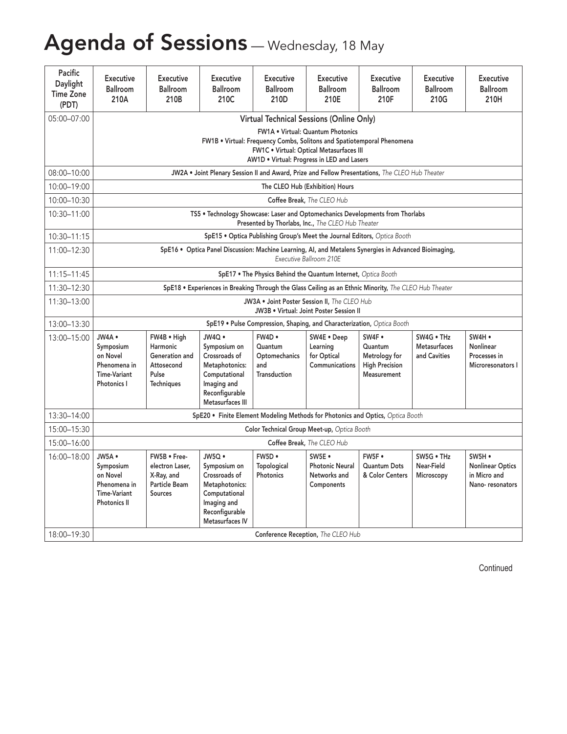# Agenda of Sessions - Wednesday, 18 May

| Pacific<br>Daylight<br><b>Time Zone</b><br>(PDT) | Executive<br><b>Ballroom</b><br>210A                                         | Executive<br>Ballroom<br>210B                                                    | <b>Executive</b><br>Ballroom<br>210C                                                                                           | Executive<br><b>Ballroom</b><br>210D            | Executive<br><b>Ballroom</b><br>210E                                                                                                                             | <b>Executive</b><br>Ballroom<br>210F                             | Executive<br>Ballroom<br>210G          | Executive<br><b>Ballroom</b><br>210H                                 |
|--------------------------------------------------|------------------------------------------------------------------------------|----------------------------------------------------------------------------------|--------------------------------------------------------------------------------------------------------------------------------|-------------------------------------------------|------------------------------------------------------------------------------------------------------------------------------------------------------------------|------------------------------------------------------------------|----------------------------------------|----------------------------------------------------------------------|
| 05:00-07:00                                      |                                                                              |                                                                                  |                                                                                                                                |                                                 | <b>Virtual Technical Sessions (Online Only)</b><br><b>FW1A • Virtual: Quantum Photonics</b>                                                                      |                                                                  |                                        |                                                                      |
|                                                  |                                                                              |                                                                                  |                                                                                                                                |                                                 | FW1B . Virtual: Frequency Combs, Solitons and Spatiotemporal Phenomena<br>FW1C . Virtual: Optical Metasurfaces III<br>AW1D . Virtual: Progress in LED and Lasers |                                                                  |                                        |                                                                      |
| 08:00-10:00                                      |                                                                              |                                                                                  |                                                                                                                                |                                                 | JW2A . Joint Plenary Session II and Award, Prize and Fellow Presentations, The CLEO Hub Theater                                                                  |                                                                  |                                        |                                                                      |
| 10:00-19:00                                      |                                                                              |                                                                                  |                                                                                                                                |                                                 | The CLEO Hub (Exhibition) Hours                                                                                                                                  |                                                                  |                                        |                                                                      |
| 10:00-10:30                                      |                                                                              |                                                                                  |                                                                                                                                |                                                 | Coffee Break, The CLEO Hub                                                                                                                                       |                                                                  |                                        |                                                                      |
| 10:30-11:00                                      |                                                                              |                                                                                  |                                                                                                                                |                                                 | TS5 . Technology Showcase: Laser and Optomechanics Developments from Thorlabs<br>Presented by Thorlabs, Inc., The CLEO Hub Theater                               |                                                                  |                                        |                                                                      |
| 10:30-11:15                                      |                                                                              |                                                                                  |                                                                                                                                |                                                 | SpE15 . Optica Publishing Group's Meet the Journal Editors, Optica Booth                                                                                         |                                                                  |                                        |                                                                      |
| 11:00-12:30                                      |                                                                              |                                                                                  |                                                                                                                                |                                                 | SpE16 . Optica Panel Discussion: Machine Learning, AI, and Metalens Synergies in Advanced Bioimaging,<br>Executive Ballroom 210E                                 |                                                                  |                                        |                                                                      |
| 11:15-11:45                                      |                                                                              |                                                                                  |                                                                                                                                |                                                 | SpE17 . The Physics Behind the Quantum Internet, Optica Booth                                                                                                    |                                                                  |                                        |                                                                      |
| 11:30-12:30                                      |                                                                              |                                                                                  |                                                                                                                                |                                                 | SpE18 . Experiences in Breaking Through the Glass Ceiling as an Ethnic Minority, The CLEO Hub Theater                                                            |                                                                  |                                        |                                                                      |
| 11:30-13:00                                      |                                                                              |                                                                                  |                                                                                                                                |                                                 | JW3A . Joint Poster Session II, The CLEO Hub<br>JW3B . Virtual: Joint Poster Session II                                                                          |                                                                  |                                        |                                                                      |
| 13:00-13:30                                      |                                                                              |                                                                                  |                                                                                                                                |                                                 | SpE19 . Pulse Compression, Shaping, and Characterization, Optica Booth                                                                                           |                                                                  |                                        |                                                                      |
| 13:00-15:00   JW4A .                             |                                                                              | FW4B . High                                                                      | JW4Q ·                                                                                                                         | FW4D .                                          | SW4E . Deep                                                                                                                                                      | SW4F .                                                           | SW4G . THz                             | SW4H .                                                               |
|                                                  | Symposium<br>on Novel<br>Phenomena in<br><b>Time-Variant</b><br>Photonics I  | Harmonic<br>Generation and<br>Attosecond<br>Pulse<br>Techniques                  | Symposium on<br>Crossroads of<br>Metaphotonics:<br>Computational<br>Imaging and<br>Reconfigurable<br>Metasurfaces III          | Quantum<br>Optomechanics<br>and<br>Transduction | Learning<br>for Optical<br>Communications                                                                                                                        | Quantum<br>Metrology for<br><b>High Precision</b><br>Measurement | Metasurfaces<br>and Cavities           | Nonlinear<br>Processes in<br>Microresonators I                       |
| 13:30-14:00                                      |                                                                              |                                                                                  |                                                                                                                                |                                                 | SpE20 . Finite Element Modeling Methods for Photonics and Optics, Optica Booth                                                                                   |                                                                  |                                        |                                                                      |
| 15:00-15:30                                      |                                                                              |                                                                                  |                                                                                                                                |                                                 | Color Technical Group Meet-up, Optica Booth                                                                                                                      |                                                                  |                                        |                                                                      |
| 15:00-16:00                                      |                                                                              |                                                                                  |                                                                                                                                |                                                 | Coffee Break, The CLEO Hub                                                                                                                                       |                                                                  |                                        |                                                                      |
| 16:00-18:00   JW5A .                             | Symposium<br>on Novel<br>Phenomena in<br><b>Time-Variant</b><br>Photonics II | FW5B . Free-<br>electron Laser,<br>X-Ray, and<br>Particle Beam<br><b>Sources</b> | JW5Q ·<br>Symposium on<br>Crossroads of<br>Metaphotonics:<br>Computational<br>Imaging and<br>Reconfigurable<br>Metasurfaces IV | FW5D .<br>Topological<br>Photonics              | SW5E .<br><b>Photonic Neural</b><br>Networks and<br>Components                                                                                                   | FW5F .<br>Quantum Dots<br>& Color Centers                        | SW5G . THz<br>Near-Field<br>Microscopy | SW5H ·<br><b>Nonlinear Optics</b><br>in Micro and<br>Nano-resonators |
| 18:00-19:30                                      |                                                                              |                                                                                  |                                                                                                                                |                                                 | Conference Reception, The CLEO Hub                                                                                                                               |                                                                  |                                        |                                                                      |

Continued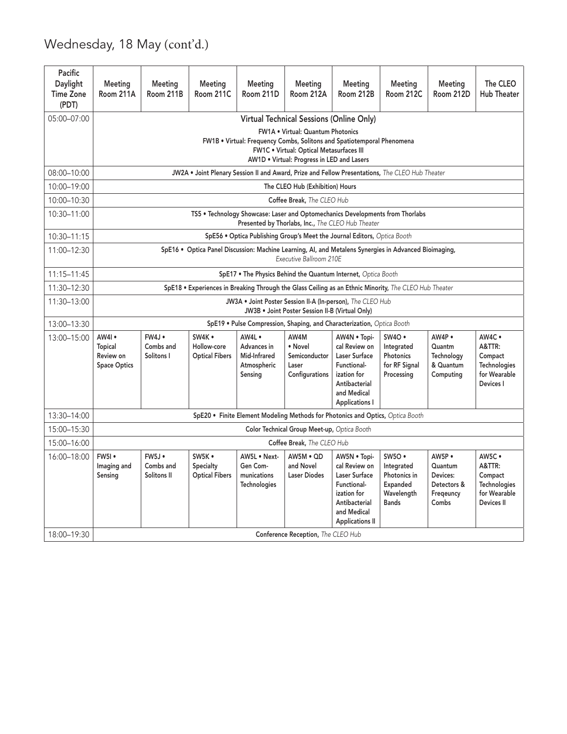### Wednesday, 18 May (cont'd.)

| Pacific<br>Daylight<br><b>Time Zone</b><br>(PDT) | Meetina<br>Room 211A                        | Meeting<br>Room 211B                       | Meeting<br>Room 211C                           | Meeting<br>Room 211D                                            | Meetina<br>Room 212A                                                                                                                                                                                                                                     | Meeting<br>Room 212B                                                                                                                   | Meeting<br>Room 212C                                                           | Meeting<br>Room 212D                                               | The CLEO<br><b>Hub Theater</b>                                                   |
|--------------------------------------------------|---------------------------------------------|--------------------------------------------|------------------------------------------------|-----------------------------------------------------------------|----------------------------------------------------------------------------------------------------------------------------------------------------------------------------------------------------------------------------------------------------------|----------------------------------------------------------------------------------------------------------------------------------------|--------------------------------------------------------------------------------|--------------------------------------------------------------------|----------------------------------------------------------------------------------|
| 05:00-07:00                                      |                                             |                                            |                                                |                                                                 | <b>Virtual Technical Sessions (Online Only)</b><br>FW1A . Virtual: Quantum Photonics<br>FW1B . Virtual: Frequency Combs, Solitons and Spatiotemporal Phenomena<br>FW1C . Virtual: Optical Metasurfaces III<br>AW1D . Virtual: Progress in LED and Lasers |                                                                                                                                        |                                                                                |                                                                    |                                                                                  |
| 08:00-10:00                                      |                                             |                                            |                                                |                                                                 | JW2A . Joint Plenary Session II and Award, Prize and Fellow Presentations, The CLEO Hub Theater                                                                                                                                                          |                                                                                                                                        |                                                                                |                                                                    |                                                                                  |
| 10:00-19:00                                      |                                             |                                            |                                                |                                                                 | The CLEO Hub (Exhibition) Hours                                                                                                                                                                                                                          |                                                                                                                                        |                                                                                |                                                                    |                                                                                  |
| 10:00-10:30                                      |                                             |                                            |                                                |                                                                 | Coffee Break, The CLEO Hub                                                                                                                                                                                                                               |                                                                                                                                        |                                                                                |                                                                    |                                                                                  |
| 10:30-11:00                                      |                                             |                                            |                                                |                                                                 | TS5 . Technology Showcase: Laser and Optomechanics Developments from Thorlabs<br>Presented by Thorlabs, Inc., The CLEO Hub Theater                                                                                                                       |                                                                                                                                        |                                                                                |                                                                    |                                                                                  |
| 10:30-11:15                                      |                                             |                                            |                                                |                                                                 | SpE56 . Optica Publishing Group's Meet the Journal Editors, Optica Booth                                                                                                                                                                                 |                                                                                                                                        |                                                                                |                                                                    |                                                                                  |
| 11:00-12:30                                      |                                             |                                            |                                                |                                                                 | SpE16 . Optica Panel Discussion: Machine Learning, AI, and Metalens Synergies in Advanced Bioimaging,<br>Executive Ballroom 210E                                                                                                                         |                                                                                                                                        |                                                                                |                                                                    |                                                                                  |
| 11:15-11:45                                      |                                             |                                            |                                                |                                                                 | SpE17 . The Physics Behind the Quantum Internet, Optica Booth                                                                                                                                                                                            |                                                                                                                                        |                                                                                |                                                                    |                                                                                  |
| 11:30-12:30                                      |                                             |                                            |                                                |                                                                 | SpE18 . Experiences in Breaking Through the Glass Ceiling as an Ethnic Minority, The CLEO Hub Theater                                                                                                                                                    |                                                                                                                                        |                                                                                |                                                                    |                                                                                  |
| 11:30-13:00                                      |                                             |                                            |                                                |                                                                 | JW3A . Joint Poster Session II-A (In-person), The CLEO Hub<br>JW3B . Joint Poster Session II-B (Virtual Only)                                                                                                                                            |                                                                                                                                        |                                                                                |                                                                    |                                                                                  |
| 13:00-13:30                                      |                                             |                                            |                                                |                                                                 | SpE19 . Pulse Compression, Shaping, and Characterization, Optica Booth                                                                                                                                                                                   |                                                                                                                                        |                                                                                |                                                                    |                                                                                  |
| 13:00-15:00   AW4I .                             | Topical<br>Review on<br><b>Space Optics</b> | FW4J .<br>Combs and<br>Solitons I          | SW4K .<br>Hollow-core<br><b>Optical Fibers</b> | AW4L .<br>Advances in<br>Mid-Infrared<br>Atmospheric<br>Sensing | AW4M<br>• Novel<br>Semiconductor<br>Laser<br>Configurations                                                                                                                                                                                              | AW4N . Topi-<br>cal Review on<br>Laser Surface<br>Functional-<br>ization for<br>Antibacterial<br>and Medical<br><b>Applications I</b>  | SW4O .<br>Integrated<br>Photonics<br>for RF Signal<br>Processing               | AW4P .<br>Quantm<br>Technology<br>& Quantum<br>Computing           | AW4C .<br>A&TTR:<br>Compact<br>Technologies<br>for Wearable<br>Devices I         |
| 13:30-14:00                                      |                                             |                                            |                                                |                                                                 | SpE20 . Finite Element Modeling Methods for Photonics and Optics, Optica Booth                                                                                                                                                                           |                                                                                                                                        |                                                                                |                                                                    |                                                                                  |
| 15:00-15:30                                      |                                             |                                            |                                                |                                                                 | Color Technical Group Meet-up, Optica Booth                                                                                                                                                                                                              |                                                                                                                                        |                                                                                |                                                                    |                                                                                  |
| 15:00-16:00                                      |                                             |                                            |                                                |                                                                 | Coffee Break, The CLEO Hub                                                                                                                                                                                                                               |                                                                                                                                        |                                                                                |                                                                    |                                                                                  |
| 16:00-18:00   FW5I .                             | Imaging and<br>Sensing                      | $FW5J \bullet$<br>Combs and<br>Solitons II | SW5K .<br>Specialty<br><b>Optical Fibers</b>   | AW5L . Next-<br>Gen Com-<br>munications<br><b>Technologies</b>  | AW5M . QD<br>and Novel<br><b>Laser Diodes</b>                                                                                                                                                                                                            | AW5N . Topi-<br>cal Review on<br>Laser Surface<br>Functional-<br>ization for<br>Antibacterial<br>and Medical<br><b>Applications II</b> | SW5O .<br>Integrated<br>Photonics in<br>Expanded<br>Wavelength<br><b>Bands</b> | AW5P .<br>Quantum<br>Devices:<br>Detectors &<br>Fregeuncy<br>Combs | AW5C .<br>A&TTR:<br>Compact<br>Technologies<br>for Wearable<br><b>Devices II</b> |
| 18:00-19:30                                      |                                             |                                            |                                                |                                                                 | Conference Reception, The CLEO Hub                                                                                                                                                                                                                       |                                                                                                                                        |                                                                                |                                                                    |                                                                                  |
|                                                  |                                             |                                            |                                                |                                                                 |                                                                                                                                                                                                                                                          |                                                                                                                                        |                                                                                |                                                                    |                                                                                  |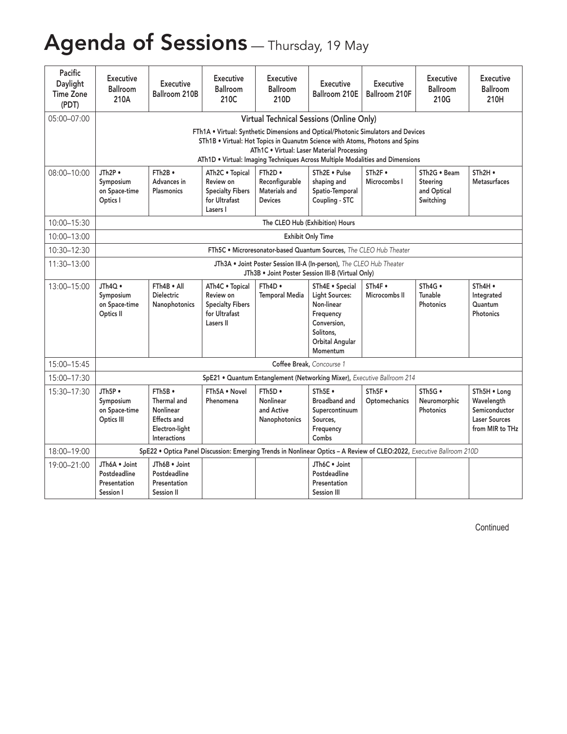## Agenda of Sessions - Thursday, 19 May

| Pacific<br>Daylight<br><b>Time Zone</b><br>(PDT) | Executive<br>Ballroom<br>210A                              | Executive<br>Ballroom 210B                                                                          | Executive<br>Ballroom<br>210C                                                                                                                                     | Executive<br>Ballroom<br>210D                               | <b>Executive</b>                                                                                                          | Executive<br>Ballroom 210E   Ballroom 210F | Executive<br>Ballroom<br>210G          | <b>Executive</b><br>Ballroom<br>210H                                                   |
|--------------------------------------------------|------------------------------------------------------------|-----------------------------------------------------------------------------------------------------|-------------------------------------------------------------------------------------------------------------------------------------------------------------------|-------------------------------------------------------------|---------------------------------------------------------------------------------------------------------------------------|--------------------------------------------|----------------------------------------|----------------------------------------------------------------------------------------|
| 05:00-07:00                                      |                                                            |                                                                                                     |                                                                                                                                                                   |                                                             | Virtual Technical Sessions (Online Only)                                                                                  |                                            |                                        |                                                                                        |
|                                                  |                                                            |                                                                                                     | FTh1A . Virtual: Synthetic Dimensions and Optical/Photonic Simulators and Devices<br>STh1B . Virtual: Hot Topics in Quanutm Science with Atoms, Photons and Spins |                                                             | ATh1C . Virtual: Laser Material Processing                                                                                |                                            |                                        |                                                                                        |
|                                                  |                                                            |                                                                                                     | ATh1D . Virtual: Imaging Techniques Across Multiple Modalities and Dimensions                                                                                     |                                                             |                                                                                                                           |                                            | STh2G . Beam                           |                                                                                        |
| 08:00-10:00                                      | JTh2P •<br>Symposium<br>on Space-time<br>Optics I          | FTh2B<br>Advances in<br>Plasmonics                                                                  | ATh2C . Topical<br>Review on<br><b>Specialty Fibers</b><br>for Ultrafast<br>Lasers I                                                                              | FTh2D •<br>Reconfigurable<br>Materials and<br>Devices       | STh2E . Pulse<br>shaping and<br>Spatio-Temporal<br>Coupling - STC                                                         | STh <sub>2F</sub><br>Microcombs I          | Steering<br>and Optical<br>Switching   | STh2H •<br><b>Metasurfaces</b>                                                         |
| 10:00-15:30                                      |                                                            |                                                                                                     |                                                                                                                                                                   |                                                             | The CLEO Hub (Exhibition) Hours                                                                                           |                                            |                                        |                                                                                        |
| 10:00-13:00                                      |                                                            |                                                                                                     |                                                                                                                                                                   |                                                             | <b>Exhibit Only Time</b>                                                                                                  |                                            |                                        |                                                                                        |
| 10:30-12:30                                      |                                                            |                                                                                                     |                                                                                                                                                                   |                                                             | FTh5C . Microresonator-based Quantum Sources. The CLEO Hub Theater                                                        |                                            |                                        |                                                                                        |
| 11:30-13:00                                      |                                                            |                                                                                                     |                                                                                                                                                                   |                                                             | JTh3A . Joint Poster Session III-A (In-person), The CLEO Hub Theater<br>JTh3B . Joint Poster Session III-B (Virtual Only) |                                            |                                        |                                                                                        |
| 13:00-15:00                                      | JTh4Q •<br>Symposium<br>on Space-time<br>Optics II         | FTh4B . All<br><b>Dielectric</b><br>Nanophotonics                                                   | ATh4C . Topical   FTh4D .<br>Review on<br>Specialty Fibers<br>for Ultrafast<br>Lasers II                                                                          | Temporal Media   Light Sources:                             | STh4E . Special<br>Non-linear<br>Frequency<br>Conversion,<br>Solitons.<br>Orbital Angular<br>Momentum                     | $\sqrt{\overline{S}}$<br>Microcombs II     | $STh4G$ •<br>Tunable<br>Photonics      | STh4H •<br>Integrated<br>Quantum<br>Photonics                                          |
| 15:00-15:45                                      |                                                            |                                                                                                     |                                                                                                                                                                   |                                                             | Coffee Break, Concourse 1                                                                                                 |                                            |                                        |                                                                                        |
| 15:00-17:30                                      |                                                            |                                                                                                     | SpE21 . Quantum Entanglement (Networking Mixer), Executive Ballroom 214                                                                                           |                                                             |                                                                                                                           |                                            |                                        |                                                                                        |
| 15:30-17:30                                      | JTh5P .<br>Symposium<br>on Space-time<br>Optics III        | $FTh5B \bullet$<br>Thermal and<br>Nonlinear<br><b>Effects</b> and<br>Electron-liaht<br>Interactions | FTh5A . Novel<br>Phenomena                                                                                                                                        | $FTh5D \bullet$<br>Nonlinear<br>and Active<br>Nanophotonics | STh5E .<br>Broadband and<br>Supercontinuum<br>Sources,<br>Frequency<br>Combs                                              | STh <sub>5F</sub><br>Optomechanics         | $STh5G$ •<br>Neuromorphic<br>Photonics | STh5H . Long<br>Wavelength<br>Semiconductor<br><b>Laser Sources</b><br>from MIR to THz |
| 18:00-19:00                                      |                                                            |                                                                                                     | SpE22 . Optica Panel Discussion: Emerging Trends in Nonlinear Optics - A Review of CLEO:2022, Executive Ballroom 210D                                             |                                                             |                                                                                                                           |                                            |                                        |                                                                                        |
| 19:00-21:00                                      | JTh6A . Joint<br>Postdeadline<br>Presentation<br>Session I | JTh6B . Joint<br>Postdeadline<br>Presentation<br><b>Session II</b>                                  |                                                                                                                                                                   |                                                             | JTh6C · Joint<br>Postdeadline<br>Presentation<br><b>Session III</b>                                                       |                                            |                                        |                                                                                        |

Continued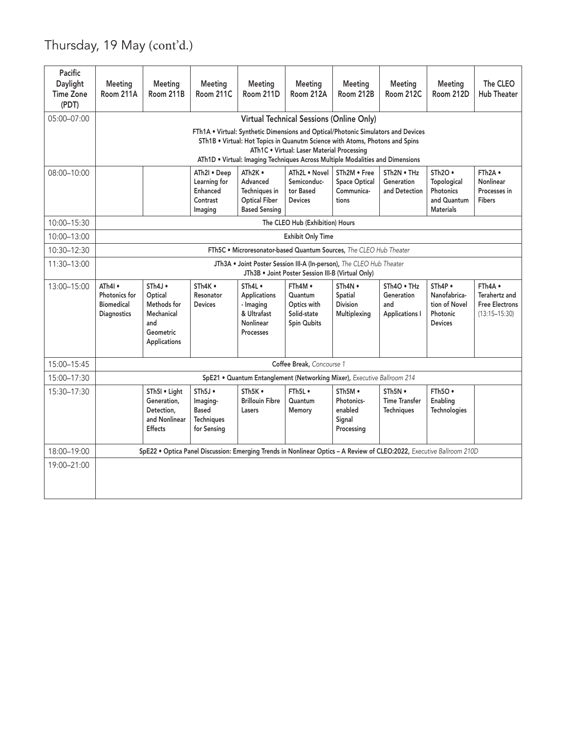### Thursday, 19 May (cont'd.)

| Pacific<br>Daylight<br><b>Time Zone</b><br>(PDT) | Meeting<br>Room 211A                                  | Meeting<br>Room 211B                                                                                                  | Meeting<br>Room 211C                                            | Meeting<br>Room 211D                                                                                                                                                                                                                               | Meeting<br>Room 212A                                                                   | Meeting<br>Room 212B                                        | Meeting<br>Room 212C                                      | Meeting<br>Room 212D                                                             | The CLEO<br><b>Hub Theater</b>                                         |
|--------------------------------------------------|-------------------------------------------------------|-----------------------------------------------------------------------------------------------------------------------|-----------------------------------------------------------------|----------------------------------------------------------------------------------------------------------------------------------------------------------------------------------------------------------------------------------------------------|----------------------------------------------------------------------------------------|-------------------------------------------------------------|-----------------------------------------------------------|----------------------------------------------------------------------------------|------------------------------------------------------------------------|
| 05:00-07:00                                      |                                                       |                                                                                                                       |                                                                 | FTh1A . Virtual: Synthetic Dimensions and Optical/Photonic Simulators and Devices<br>STh1B . Virtual: Hot Topics in Quanutm Science with Atoms, Photons and Spins<br>ATh1D . Virtual: Imaging Techniques Across Multiple Modalities and Dimensions | Virtual Technical Sessions (Online Only)<br>ATh1C . Virtual: Laser Material Processing |                                                             |                                                           |                                                                                  |                                                                        |
| 08:00-10:00                                      |                                                       |                                                                                                                       | ATh2I . Deep<br>Learning for<br>Enhanced<br>Contrast<br>Imaging | ATh2K •<br>Advanced<br>Techniques in<br><b>Optical Fiber</b><br><b>Based Sensing</b>                                                                                                                                                               | ATh2L . Novel<br>Semiconduc-<br>tor Based<br><b>Devices</b>                            | STh2M . Free<br><b>Space Optical</b><br>Communica-<br>tions | STh2N . THz<br>Generation<br>and Detection                | STh <sub>20</sub><br>Topological<br>Photonics<br>and Quantum<br><b>Materials</b> | FTh2A .<br>Nonlinear<br>Processes in<br>Fibers                         |
| 10:00-15:30                                      |                                                       |                                                                                                                       |                                                                 |                                                                                                                                                                                                                                                    | The CLEO Hub (Exhibition) Hours                                                        |                                                             |                                                           |                                                                                  |                                                                        |
| 10:00-13:00                                      |                                                       |                                                                                                                       |                                                                 |                                                                                                                                                                                                                                                    | <b>Exhibit Only Time</b>                                                               |                                                             |                                                           |                                                                                  |                                                                        |
| 10:30-12:30                                      |                                                       |                                                                                                                       |                                                                 | FTh5C . Microresonator-based Quantum Sources, The CLEO Hub Theater                                                                                                                                                                                 |                                                                                        |                                                             |                                                           |                                                                                  |                                                                        |
| 11:30-13:00                                      |                                                       |                                                                                                                       |                                                                 | JTh3A . Joint Poster Session III-A (In-person), The CLEO Hub Theater                                                                                                                                                                               | JTh3B . Joint Poster Session III-B (Virtual Only)                                      |                                                             |                                                           |                                                                                  |                                                                        |
| 13:00-15:00                                      | ATh4I •<br>Photonics for<br>Biomedical<br>Diagnostics | STh4J .<br>Optical<br>Methods for<br>Mechanical<br>and<br>Geometric<br>Applications                                   | STh4K .<br>Resonator<br>Devices                                 | STh4L .<br>Applications<br>- Imaging<br>& Ultrafast<br>Nonlinear<br>Processes                                                                                                                                                                      | FTh4M •<br>Quantum<br>Optics with<br>Solid-state<br><b>Spin Qubits</b>                 | STh4N .<br>Spatial<br>Division<br>Multiplexing              | STh4O . THz<br>Generation<br>and<br><b>Applications I</b> | STh4P<br>Nanofabrica-<br>tion of Novel<br>Photonic<br><b>Devices</b>             | FTh4A •<br>Terahertz and<br><b>Free Electrons</b><br>$(13:15 - 15:30)$ |
| 15:00-15:45                                      |                                                       |                                                                                                                       |                                                                 |                                                                                                                                                                                                                                                    | Coffee Break, Concourse 1                                                              |                                                             |                                                           |                                                                                  |                                                                        |
| 15:00-17:30                                      |                                                       |                                                                                                                       |                                                                 | SpE21 . Quantum Entanglement (Networking Mixer), Executive Ballroom 214                                                                                                                                                                            |                                                                                        |                                                             |                                                           |                                                                                  |                                                                        |
| 15:30-17:30                                      |                                                       | STh5I . Light<br>Generation,<br>Detection,<br>and Nonlinear<br>Effects                                                | STh5J<br>Imaging-<br>Based<br><b>Techniques</b><br>for Sensing  | STh5K .<br><b>Brillouin Fibre</b><br>Lasers                                                                                                                                                                                                        | FTh5L •<br>Quantum<br>Memory                                                           | STh5M •<br>Photonics-<br>enabled<br>Signal<br>Processing    | STh5N •<br><b>Time Transfer</b><br>Techniques             | FTh5O .<br>Enabling<br>Technologies                                              |                                                                        |
| 18:00-19:00                                      |                                                       | SpE22 . Optica Panel Discussion: Emerging Trends in Nonlinear Optics - A Review of CLEO:2022, Executive Ballroom 210D |                                                                 |                                                                                                                                                                                                                                                    |                                                                                        |                                                             |                                                           |                                                                                  |                                                                        |
| 19:00-21:00                                      |                                                       |                                                                                                                       |                                                                 |                                                                                                                                                                                                                                                    |                                                                                        |                                                             |                                                           |                                                                                  |                                                                        |
|                                                  |                                                       |                                                                                                                       |                                                                 |                                                                                                                                                                                                                                                    |                                                                                        |                                                             |                                                           |                                                                                  |                                                                        |
|                                                  |                                                       |                                                                                                                       |                                                                 |                                                                                                                                                                                                                                                    |                                                                                        |                                                             |                                                           |                                                                                  |                                                                        |
|                                                  |                                                       |                                                                                                                       |                                                                 |                                                                                                                                                                                                                                                    |                                                                                        |                                                             |                                                           |                                                                                  |                                                                        |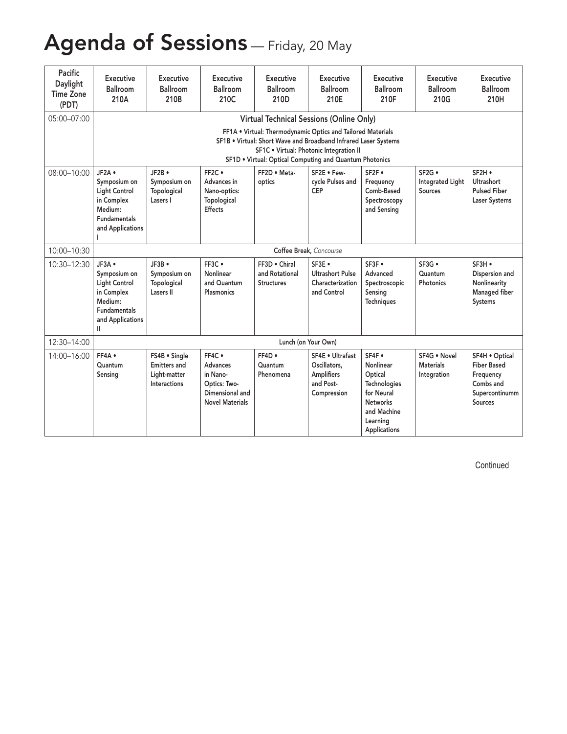## Agenda of Sessions - Friday, 20 May

| Pacific<br>Daylight<br><b>Time Zone</b><br>(PDT) | Executive<br>Ballroom<br>210A                                                                               | Executive<br>Ballroom<br>210B                                        | <b>Executive</b><br>Ballroom<br>210C                                                               | Executive<br>Ballroom<br>210D                        | <b>Executive</b><br>Ballroom<br>210E                                                                                                                                                                                                                                             | <b>Executive</b><br>Ballroom<br>210F                                                                                       | Executive<br>Ballroom<br>210G                   | Executive<br>Ballroom<br>210H                                                               |
|--------------------------------------------------|-------------------------------------------------------------------------------------------------------------|----------------------------------------------------------------------|----------------------------------------------------------------------------------------------------|------------------------------------------------------|----------------------------------------------------------------------------------------------------------------------------------------------------------------------------------------------------------------------------------------------------------------------------------|----------------------------------------------------------------------------------------------------------------------------|-------------------------------------------------|---------------------------------------------------------------------------------------------|
| 05:00-07:00                                      |                                                                                                             |                                                                      |                                                                                                    |                                                      | Virtual Technical Sessions (Online Only)<br>FF1A . Virtual: Thermodynamic Optics and Tailored Materials<br>SF1B . Virtual: Short Wave and Broadband Infrared Laser Systems<br>SF1C . Virtual: Photonic Integration II<br>SF1D . Virtual: Optical Computing and Quantum Photonics |                                                                                                                            |                                                 |                                                                                             |
| 08:00-10:00                                      | JF2A .<br>Symposium on<br>Light Control<br>in Complex<br>Medium:<br><b>Fundamentals</b><br>and Applications | JF2B •<br>Symposium on<br>Topological<br>Lasers I                    | FF2C .<br>Advances in<br>Nano-optics:<br>Topological<br>Effects                                    | FF2D . Meta-<br>optics                               | SF2E . Few-<br>cycle Pulses and<br>CEP                                                                                                                                                                                                                                           | SF2F .<br>Frequency<br>Comb-Based<br>Spectroscopy<br>and Sensing                                                           | SF2G .<br><b>Integrated Light</b><br>Sources    | SF2H .<br>Ultrashort<br><b>Pulsed Fiber</b><br><b>Laser Systems</b>                         |
| 10:00-10:30                                      |                                                                                                             |                                                                      |                                                                                                    |                                                      | Coffee Break, Concourse                                                                                                                                                                                                                                                          |                                                                                                                            |                                                 |                                                                                             |
| 10:30-12:30                                      | JF3A .<br>Symposium on<br>Light Control<br>in Complex<br>Medium:<br>Fundamentals<br>and Applications        | JF3B .<br>Symposium on<br>Topological<br><b>Lasers II</b>            | FF3C .<br>Nonlinear<br>and Quantum<br>Plasmonics                                                   | FF3D . Chiral<br>and Rotational<br><b>Structures</b> | SF3E .<br><b>Ultrashort Pulse</b><br>Characterization<br>and Control                                                                                                                                                                                                             | SF3F .<br>Advanced<br>Spectroscopic<br>Sensing<br><b>Techniques</b>                                                        | SF3G .<br>Quantum<br>Photonics                  | SF3H .<br>Dispersion and<br>Nonlinearity<br>Managed fiber<br>Systems                        |
| 12:30-14:00                                      |                                                                                                             |                                                                      |                                                                                                    |                                                      | Lunch (on Your Own)                                                                                                                                                                                                                                                              |                                                                                                                            |                                                 |                                                                                             |
| 14:00-16:00                                      | FF4A .<br>Quantum<br>Sensing                                                                                | FS4B · Single<br><b>Emitters and</b><br>Light-matter<br>Interactions | FF4C .<br><b>Advances</b><br>in Nano-<br>Optics: Two-<br>Dimensional and<br><b>Novel Materials</b> | $FF4D \bullet$<br>Quantum<br>Phenomena               | SF4E . Ultrafast<br>Oscillators,<br><b>Amplifiers</b><br>and Post-<br>Compression                                                                                                                                                                                                | SF4F .<br>Nonlinear<br>Optical<br>Technologies<br>for Neural<br><b>Networks</b><br>and Machine<br>Learning<br>Applications | SF4G . Novel<br><b>Materials</b><br>Integration | SF4H . Optical<br><b>Fiber Based</b><br>Frequency<br>Combs and<br>Supercontinumm<br>Sources |

Continued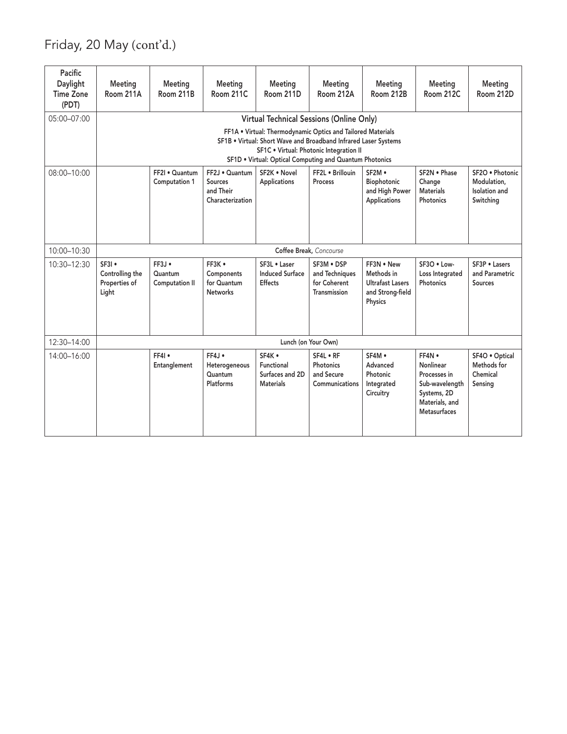Friday, 20 May (cont'd.)

| Meeting<br>Meeting<br>Meeting<br>Meeting<br>Meeting<br>Meeting<br>Room 212A<br>Room 212B<br>Room 212C<br>Room 212D<br>Room 211C<br>Room 211D                                                                                                                                                                                                                                                  | Meeting<br>Meeting<br>Room 211A<br>Room 211B                                                              | Pacific<br>Daylight<br><b>Time Zone</b><br>(PDT) |
|-----------------------------------------------------------------------------------------------------------------------------------------------------------------------------------------------------------------------------------------------------------------------------------------------------------------------------------------------------------------------------------------------|-----------------------------------------------------------------------------------------------------------|--------------------------------------------------|
| Virtual Technical Sessions (Online Only)<br>FF1A . Virtual: Thermodynamic Optics and Tailored Materials<br>SF1B . Virtual: Short Wave and Broadband Infrared Laser Systems<br>SF1C . Virtual: Photonic Integration II<br>SF1D . Virtual: Optical Computing and Quantum Photonics                                                                                                              |                                                                                                           | 05:00-07:00                                      |
| SF2K . Novel<br>FF2L . Brillouin<br>SF2M .<br>SF2N . Phase<br>SF2O . Photonic<br>Modulation.<br>Applications<br>Biophotonic<br>Process<br>Change<br>Sources<br>and High Power<br>Materials<br>Isolation and<br>and Their<br>Photonics<br>Switching<br>Characterization<br>Applications                                                                                                        | FF2I . Quantum   FF2J . Quantum<br>Computation 1                                                          | 08:00-10:00                                      |
| Coffee Break, Concourse                                                                                                                                                                                                                                                                                                                                                                       |                                                                                                           | 10:00-10:30                                      |
| SF3P . Lasers<br>FF3K .<br>SF3L . Laser<br>SF3M . DSP<br>FF3N . New<br>SF3O . Low-<br>Induced Surface<br>and Techniques<br>Methods in<br>and Parametric<br>Components<br>Loss Integrated<br>Effects<br><b>Ultrafast Lasers</b><br>for Coherent<br>for Quantum<br>Photonics<br>Sources<br>Transmission<br>and Strong-field<br>Networks<br>Physics                                              | SF3I .<br>$FF3J \bullet$<br>Controlling the<br>Quantum<br>Properties of<br><b>Computation II</b><br>Light | 10:30-12:30                                      |
| Lunch (on Your Own)                                                                                                                                                                                                                                                                                                                                                                           |                                                                                                           | 12:30-14:00                                      |
| SF4K .<br>SF4L . RF<br>SF4M .<br>FF4N •<br>SF4O . Optical<br>Photonics<br>Methods for<br>Advanced<br>Nonlinear<br>Functional<br>Heterogeneous<br>Surfaces and 2D<br>and Secure<br>Photonic<br>Chemical<br>Quantum<br>Processes in<br><b>Materials</b><br>Communications<br>Sub-wavelength<br>Sensing<br>Platforms<br>Integrated<br>Systems, 2D<br>Circuitry<br>Materials, and<br>Metasurfaces | FF4<br>Entanglement                                                                                       | 14:00-16:00                                      |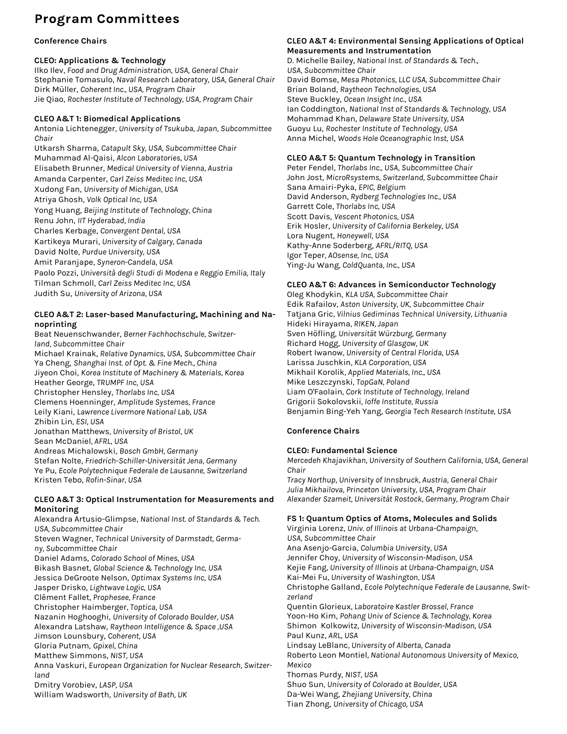### **Program Committees**

#### **Conference Chairs**

#### **CLEO: Applications & Technology**

Ilko Ilev, *Food and Drug Administration, USA, General Chair* Stephanie Tomasulo, *Naval Research Laboratory, USA, General Chair* Dirk Müller, *Coherent Inc., USA, Program Chair* Jie Qiao, *Rochester Institute of Technology, USA, Program Chair*

#### **CLEO A&T 1: Biomedical Applications**

Antonia Lichtenegger*, University of Tsukuba, Japan, Subcommittee Chair*

Utkarsh Sharma, *Catapult Sky, USA, Subcommittee Chair* Muhammad Al-Qaisi, *Alcon Laboratories, USA* Elisabeth Brunner, *Medical University of Vienna, Austria* Amanda Carpenter, *Carl Zeiss Meditec Inc, USA* Xudong Fan, *University of Michigan, USA* Atriya Ghosh, *Volk Optical Inc, USA* Yong Huang, *Beijing Institute of Technology, China* Renu John, *IIT Hyderabad, India* Charles Kerbage, *Convergent Dental, USA* Kartikeya Murari, *University of Calgary, Canada* David Nolte, *Purdue University, USA* Amit Paranjape, *Syneron-Candela, USA* Paolo Pozzi, *Università degli Studi di Modena e Reggio Emilia, Italy* Tilman Schmoll, *Carl Zeiss Meditec Inc, USA* Judith Su, *University of Arizona, USA*

#### **CLEO A&T 2: Laser-based Manufacturing, Machining and Nanoprinting**

Beat Neuenschwander, *Berner Fachhochschule, Switzerland, Subcommittee Chair* Michael Krainak, *Relative Dynamics, USA, Subcommittee Chair* Ya Cheng, *Shanghai Inst. of Opt. & Fine Mech., China* Jiyeon Choi, *Korea Institute of Machinery & Materials, Korea* Heather George, *TRUMPF Inc, USA* Christopher Hensley, *Thorlabs Inc, USA* Clemens Hoenninger, *Amplitude Systemes, France* Leily Kiani, *Lawrence Livermore National Lab, USA* Zhibin Lin*, ESI, USA* Jonathan Matthews*, University of Bristol, UK* Sean McDaniel*, AFRL, USA* Andreas Michalowski, *Bosch GmbH, Germany* Stefan Nolte, *Friedrich-Schiller-Universität Jena, Germany* Ye Pu, *Ecole Polytechnique Federale de Lausanne, Switzerland* Kristen Tebo, *Rofin-Sinar, USA*

#### **CLEO A&T 3: Optical Instrumentation for Measurements and Monitoring**

Alexandra Artusio-Glimpse, *National Inst. of Standards & Tech. USA, Subcommittee Chair* Steven Wagner, *Technical University of Darmstadt, Germany, Subcommittee Chair* Daniel Adams, *Colorado School of Mines, USA* Bikash Basnet, *Global Science & Technology Inc, USA* Jessica DeGroote Nelson, *Optimax Systems Inc, USA* Jasper Drisko, *Lightwave Logic, USA* Clément Fallet, *Prophesee, France* Christopher Haimberger*, Toptica, USA* Nazanin Hoghooghi, *University of Colorado Boulder, USA* Alexandra Latshaw, *Raytheon Intelligence & Space ,USA* Jimson Lounsbury, *Coherent, USA* Gloria Putnam, *Gpixel, China* Matthew Simmons, *NIST, USA* Anna Vaskuri, *European Organization for Nuclear Research, Switzerland* Dmitry Vorobiev, *LASP, USA* William Wadsworth, *University of Bath, UK*

#### **CLEO A&T 4: Environmental Sensing Applications of Optical Measurements and Instrumentation**

D. Michelle Bailey, *National Inst. of Standards & Tech., USA, Subcommittee Chair* David Bomse, *Mesa Photonics, LLC USA, Subcommittee Chair* Brian Boland, *Raytheon Technologies, USA* Steve Buckley, *Ocean Insight Inc., USA* Ian Coddington, *National Inst of Standards & Technology, USA* Mohammad Khan, *Delaware State University, USA* Guoyu Lu, *Rochester Institute of Technology, USA* Anna Michel, *Woods Hole Oceanographic Inst, USA*

#### **CLEO A&T 5: Quantum Technology in Transition**

Peter Fendel, *Thorlabs Inc., USA, Subcommittee Chair* John Jost, *MicroRsystems, Switzerland, Subcommittee Chair* Sana Amairi-Pyka, *EPIC, Belgium* David Anderson, *Rydberg Technologies Inc., USA* Garrett Cole, *Thorlabs Inc, USA* Scott Davis, *Vescent Photonics, USA* Erik Hosler, *University of California Berkeley, USA* Lora Nugent, *Honeywell, USA* Kathy-Anne Soderberg, *AFRL/RITQ, USA* Igor Teper*, AOsense, Inc, USA* Ying-Ju Wang*, ColdQuanta, Inc., USA*

#### **CLEO A&T 6: Advances in Semiconductor Technology**

Oleg Khodykin, *KLA USA, Subcommittee Chair* Edik Rafailov, *Aston University, UK, Subcommittee Chair* Tatjana Gric*, Vilnius Gediminas Technical University, Lithuania* Hideki Hirayama*, RIKEN, Japan* Sven Höfling*, Universität Würzburg, Germany* Richard Hogg, *University of Glasgow, UK* Robert Iwanow*, University of Central Florida, USA* Larissa Juschkin*, KLA Corporation, USA* Mikhail Korolik*, Applied Materials, Inc., USA* Mike Leszczynski*, TopGaN, Poland* Liam O'Faolain*, Cork Institute of Technology, Ireland* Grigorii Sokolovskii*, Ioffe Institute, Russia* Benjamin Bing-Yeh Yang, *Georgia Tech Research Institute, USA*

#### **Conference Chairs**

#### **CLEO: Fundamental Science**

*Mercedeh Khajavikhan, University of Southern California, USA, General Chair*

*Tracy Northup, University of Innsbruck, Austria, General Chair Julia Mikhailova, Princeton University, USA, Program Chair Alexander Szameit, Universität Rostock, Germany, Program Chair*

#### **FS 1: Quantum Optics of Atoms, Molecules and Solids**

Virginia Lorenz, *Univ. of Illinois at Urbana-Champaign, USA, Subcommittee Chair*  Ana Asenjo-Garcia, *Columbia University, USA* Jennifer Choy, *University of Wisconsin-Madison, USA* Kejie Fang*, University of Illinois at Urbana-Champaign, USA* Kai-Mei Fu, *University of Washington, USA* Christophe Galland, *Ecole Polytechnique Federale de Lausanne, Switzerland* Quentin Glorieux*, Laboratoire Kastler Brossel, France* Yoon-Ho Kim, *Pohang Univ of Science & Technology, Korea* Shimon Kolkowitz*, University of Wisconsin-Madison, USA* Paul Kunz, *ARL, USA* Lindsay LeBlanc*, University of Alberta, Canada* Roberto Leon Montiel*, National Autonomous University of Mexico, Mexico* Thomas Purdy, *NIST, USA* Shuo Sun*, University of Colorado at Boulder, USA* Da-Wei Wang, *Zhejiang University, China* Tian Zhong, *University of Chicago, USA*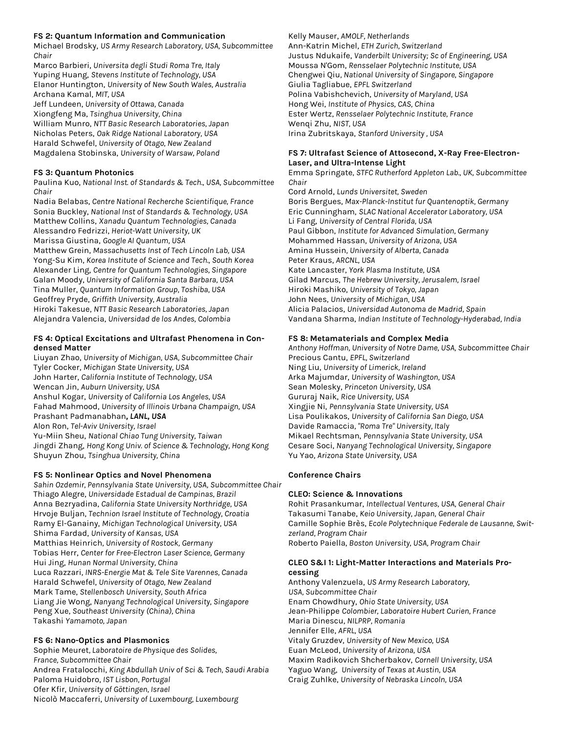#### **FS 2: Quantum Information and Communication**

Michael Brodsky, *US Army Research Laboratory, USA, Subcommittee Chair*

Marco Barbieri, *Universita degli Studi Roma Tre, Italy* Yuping Huang, *Stevens Institute of Technology, USA* Elanor Huntington, *University of New South Wales, Australia* Archana Kamal, *MIT, USA*

Jeff Lundeen, *University of Ottawa, Canada* Xiongfeng Ma, *Tsinghua University, China* William Munro, *NTT Basic Research Laboratories, Japan* Nicholas Peters, *Oak Ridge National Laboratory, USA* Harald Schwefel, *University of Otago, New Zealand* Magdalena Stobinska, *University of Warsaw, Poland*

#### **FS 3: Quantum Photonics**

Paulina Kuo, *National Inst. of Standards & Tech., USA, Subcommittee Chair* 

Nadia Belabas, *Centre National Recherche Scientifique, France* Sonia Buckley, *National Inst of Standards & Technology, USA* Matthew Collins, *Xanadu Quantum Technologies, Canada* Alessandro Fedrizzi, *Heriot-Watt University, UK* Marissa Giustina, *Google AI Quantum, USA* Matthew Grein, *Massachusetts Inst of Tech Lincoln Lab, USA* Yong-Su Kim, *Korea Institute of Science and Tech., South Korea* Alexander Ling, *Centre for Quantum Technologies, Singapore* Galan Moody, *University of California Santa Barbara, USA* Tina Muller, *Quantum Information Group, Toshiba, USA* Geoffrey Pryde, *Griffith University, Australia* Hiroki Takesue, *NTT Basic Research Laboratories, Japan*

Alejandra Valencia, *Universidad de los Andes, Colombia*

#### **FS 4: Optical Excitations and Ultrafast Phenomena in Condensed Matter**

Liuyan Zhao, *University of Michigan, USA, Subcommittee Chair*  Tyler Cocker, *Michigan State University, USA* John Harter, *California Institute of Technology, USA* Wencan Jin, *Auburn University, USA* Anshul Kogar, *University of California Los Angeles, USA* Fahad Mahmood, *University of Illinois Urbana Champaign, USA* Prashant Padmanabhan*, LANL, USA* Alon Ron, *Tel-Aviv University, Israel* Yu-Miin Sheu, *National Chiao Tung University, Taiwan* Jingdi Zhang, *Hong Kong Univ. of Science & Technology, Hong Kong* Shuyun Zhou, *Tsinghua University, China*

#### **FS 5: Nonlinear Optics and Novel Phenomena**

*Sahin Ozdemir, Pennsylvania State University, USA, Subcommittee Chair*  Thiago Alegre, *Universidade Estadual de Campinas, Brazil* Anna Bezryadina, *California State University Northridge, USA* Hrvoje Buljan, *Technion Israel Institute of Technology, Croatia* Ramy El-Ganainy, *Michigan Technological University, USA* Shima Fardad, *University of Kansas, USA* Matthias Heinrich*, University of Rostock, Germany* Tobias Herr, *Center for Free-Electron Laser Science, Germany* Hui Jing, *Hunan Normal University, China* Luca Razzari, *INRS-Energie Mat & Tele Site Varennes, Canada* Harald Schwefel, *University of Otago, New Zealand* Mark Tame, *Stellenbosch University, South Africa* Liang Jie Wong, *Nanyang Technological University, Singapore* Peng Xue, *Southeast University (China), China* Takashi *Yamamoto, Japan*

#### **FS 6: Nano-Optics and Plasmonics**

Sophie Meuret*, Laboratoire de Physique des Solides, France, Subcommittee Chair*  Andrea Fratalocchi, *King Abdullah Univ of Sci & Tech, Saudi Arabia* Paloma Huidobro, *IST Lisbon, Portugal* Ofer Kfir, *University of Göttingen, Israel* Nicolò Maccaferri, *University of Luxembourg, Luxembourg*

#### Kelly Mauser, *AMOLF, Netherlands*

Ann-Katrin Michel, *ETH Zurich, Switzerland* Justus Ndukaife, *Vanderbilt University; Sc of Engineering, USA* Moussa N'Gom, *Rensselaer Polytechnic Institute, USA* Chengwei Qiu*, National University of Singapore, Singapore* Giulia Tagliabue, *EPFL Switzerland* Polina Vabishchevich, *University of Maryland, USA* Hong Wei, *Institute of Physics, CAS, China* Ester Wertz, *Rensselaer Polytechnic Institute, France* Wenqi Zhu, *NIST, USA* Irina Zubritskaya, *Stanford University , USA*

#### **FS 7: Ultrafast Science of Attosecond, X-Ray Free-Electron-Laser, and Ultra-Intense Light**

Emma Springate*, STFC Rutherford Appleton Lab., UK, Subcommittee Chair* 

Cord Arnold, *Lunds Universitet, Sweden* Boris Bergues, *Max-Planck-Institut fur Quantenoptik, Germany* Eric Cunningham, *SLAC National Accelerator Laboratory, USA* Li Fang, *University of Central Florida, USA* Paul Gibbon, *Institute for Advanced Simulation, Germany* Mohammed Hassan, *University of Arizona, USA* Amina Hussein*, University of Alberta, Canada* Peter Kraus, *ARCNL, USA* Kate Lancaster, *York Plasma Institute, USA* Gilad Marcus, *The Hebrew University, Jerusalem, Israel* Hiroki Mashiko, *University of Tokyo, Japan* John Nees, *University of Michigan, USA* Alicia Palacios, *Universidad Autonoma de Madrid, Spain* Vandana Sharma, *Indian Institute of Technology-Hyderabad, India*

#### **FS 8: Metamaterials and Complex Media**

*Anthony Hoffman, University of Notre Dame, USA, Subcommittee Chair*  Precious Cantu, *EPFL, Switzerland* Ning Liu, *University of Limerick, Ireland* Arka Majumdar, *University of Washington, USA* Sean Molesky, *Princeton University, USA* Gururaj Naik, *Rice University, USA* Xingjie Ni, *Pennsylvania State University, USA* Lisa Poulikakos, *University of California San Diego, USA* Davide Ramaccia*, "Roma Tre" University, Italy* Mikael Rechtsman, *Pennsylvania State University, USA* Cesare Soci, *Nanyang Technological University, Singapore* Yu Yao, *Arizona State University, USA*

#### **Conference Chairs**

#### **CLEO: Science & Innovations**

Rohit Prasankumar, *Intellectual Ventures, USA, General Chair* Takasumi Tanabe, *Keio University, Japan, General Chair* Camille Sophie Brès, *Ecole Polytechnique Federale de Lausanne, Switzerland, Program Chair* Roberto Paiella, *Boston University, USA, Program Chair*

#### **CLEO S&I 1: Light-Matter Interactions and Materials Processing**

Anthony Valenzuela, *US Army Research Laboratory, USA, Subcommittee Chair*  Enam Chowdhury, *Ohio State University, USA* Jean-Philippe *Colombier, Laboratoire Hubert Curien, France* Maria Dinescu, *NILPRP, Romania* Jennifer Elle, *AFRL, USA* Vitaly Gruzdev, *University of New Mexico, USA* Euan McLeod, *University of Arizona, USA* Maxim Radikovich Shcherbakov, *Cornell University, USA* Yaguo Wang, *University of Texas at Austin, USA* Craig Zuhlke, *University of Nebraska Lincoln, USA*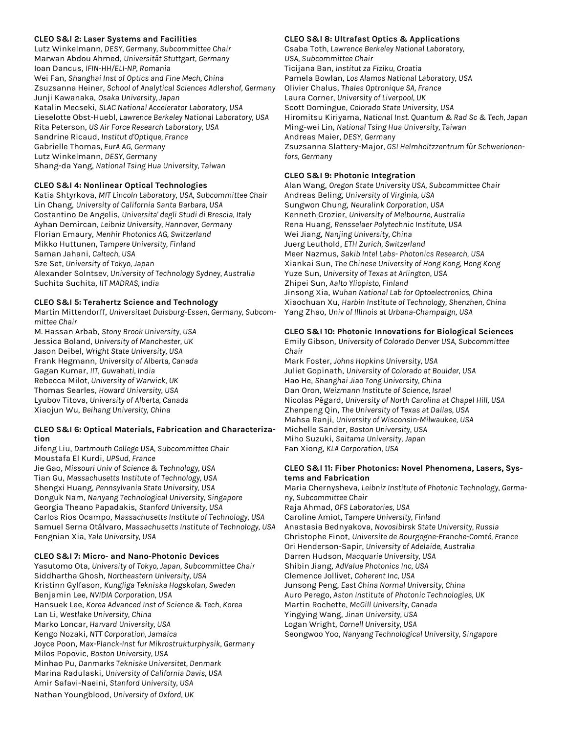#### **CLEO S&I 2: Laser Systems and Facilities**

Lutz Winkelmann*, DESY, Germany, Subcommittee Chair*  Marwan Abdou Ahmed, *Universität Stuttgart, Germany* Ioan Dancus, *IFIN-HH/ELI-NP, Romania* Wei Fan, *Shanghai Inst of Optics and Fine Mech, China* Zsuzsanna Heiner, *School of Analytical Sciences Adlershof, Germany* Junji Kawanaka, *Osaka University, Japan* Katalin Mecseki, *SLAC National Accelerator Laboratory, USA* Lieselotte Obst-Huebl, *Lawrence Berkeley National Laboratory, USA* Rita Peterson, *US Air Force Research Laboratory, USA* Sandrine Ricaud, *Institut d'Optique, France* Gabrielle Thomas*, EurA AG, Germany* Lutz Winkelmann, *DESY, Germany* Shang-da Yang, *National Tsing Hua University, Taiwan*

#### **CLEO S&I 4: Nonlinear Optical Technologies**

Katia Shtyrkova, *MIT Lincoln Laboratory, USA, Subcommittee Chair*  Lin Chang, *University of California Santa Barbara, USA* Costantino De Angelis, *Universita' degli Studi di Brescia, Italy* Ayhan Demircan, *Leibniz University, Hannover, Germany* Florian Emaury, *Menhir Photonics AG, Switzerland* Mikko Huttunen, *Tampere University, Finland* Saman Jahani, *Caltech, USA* Sze Set, *University of Tokyo, Japan* Alexander Solntsev*, University of Technology Sydney, Australia* Suchita Suchita, *IIT MADRAS, India*

#### **CLEO S&I 5: Terahertz Science and Technology**

Martin Mittendorff, *Universitaet Duisburg-Essen, Germany, Subcommittee Chair*

M. Hassan Arbab, *Stony Brook University, USA* Jessica Boland, *University of Manchester, UK* Jason Deibel, *Wright State University, USA* Frank Hegmann, *University of Alberta, Canada* Gagan Kumar, *IIT, Guwahati, India* Rebecca Milot*, University of Warwick, UK* Thomas Searles, *Howard University, USA* Lyubov Titova, *University of Alberta, Canada* Xiaojun Wu, *Beihang University, China*

#### **CLEO S&I 6: Optical Materials, Fabrication and Characterization**

Jifeng Liu, *Dartmouth College USA, Subcommittee Chair*  Moustafa El Kurdi, *UPSud, France* Jie Gao, *Missouri Univ of Science & Technology, USA* Tian Gu, *Massachusetts Institute of Technology, USA* Shengxi Huang, *Pennsylvania State University, USA* Donguk Nam, *Nanyang Technological University, Singapore* Georgia Theano Papadakis, *Stanford University, USA* Carlos Rios Ocampo, *Massachusetts Institute of Technology, USA* Samuel Serna Otálvaro, *Massachusetts Institute of Technology, USA* Fengnian Xia, *Yale University, USA*

#### **CLEO S&I 7: Micro- and Nano-Photonic Devices**

Yasutomo Ota, *University of Tokyo, Japan, Subcommittee Chair*  Siddhartha Ghosh, *Northeastern University, USA* Kristinn Gylfason, *Kungliga Tekniska Hogskolan, Sweden* Benjamin Lee, *NVIDIA Corporation, USA* Hansuek Lee, *Korea Advanced Inst of Science & Tech, Korea* Lan Li, *Westlake University, China* Marko Loncar, *Harvard University, USA* Kengo Nozaki, *NTT Corporation, Jamaica* Joyce Poon, *Max-Planck-Inst fur Mikrostrukturphysik, Germany* Milos Popovic, *Boston University, USA* Minhao Pu, *Danmarks Tekniske Universitet, Denmark* Marina Radulaski, *University of California Davis, USA* Amir Safavi-Naeini, *Stanford University, USA* Nathan Youngblood, *University of Oxford, UK*

#### **CLEO S&I 8: Ultrafast Optics & Applications**

Csaba Toth*, Lawrence Berkeley National Laboratory, USA, Subcommittee Chair* 

Ticijana Ban, *Institut za Fiziku, Croatia* Pamela Bowlan, *Los Alamos National Laboratory, USA* Olivier Chalus, *Thales Optronique SA, France* Laura Corner, *University of Liverpool, UK* Scott Domingue, *Colorado State University, USA* Hiromitsu Kiriyama, *National Inst. Quantum & Rad Sc & Tech, Japan* Ming-wei Lin, *National Tsing Hua University, Taiwan* Andreas Maier, *DESY, Germany* Zsuzsanna Slattery-Major*, GSI Helmholtzzentrum für Schwerionenfors, Germany*

#### **CLEO S&I 9: Photonic Integration**

Alan Wang, *Oregon State University USA, Subcommittee Chair* Andreas Beling, *University of Virginia, USA* Sungwon Chung, *Neuralink Corporation, USA* Kenneth Crozier, *University of Melbourne, Australia* Rena Huang, *Rensselaer Polytechnic Institute, USA* Wei Jiang, *Nanjing University, China* Juerg Leuthold, *ETH Zurich, Switzerland* Meer Nazmus, *Sakib Intel Labs- Photonics Research, USA* Xiankai Sun, *The Chinese University of Hong Kong, Hong Kong* Yuze Sun, *University of Texas at Arlington, USA* Zhipei Sun, *Aalto Yliopisto, Finland* Jinsong Xia, *Wuhan National Lab for Optoelectronics, China* Xiaochuan Xu, *Harbin Institute of Technology, Shenzhen, China* Yang Zhao, *Univ of Illinois at Urbana-Champaign, USA*

#### **CLEO S&I 10: Photonic Innovations for Biological Sciences**

Emily Gibson, *University of Colorado Denver USA, Subcommittee Chair*

Mark Foster, *Johns Hopkins University, USA* Juliet Gopinath, *University of Colorado at Boulder, USA* Hao He, *Shanghai Jiao Tong University, China* Dan Oron, *Weizmann Institute of Science, Israel* Nicolas Pégard, *University of North Carolina at Chapel Hill, USA* Zhenpeng Qin, *The University of Texas at Dallas, USA* Mahsa Ranji, *University of Wisconsin-Milwaukee, USA* Michelle Sander, *Boston University, USA* Miho Suzuki, *Saitama University, Japan* Fan Xiong, *KLA Corporation, USA*

#### **CLEO S&I 11: Fiber Photonics: Novel Phenomena, Lasers, Systems and Fabrication**

Maria Chernysheva, *Leibniz Institute of Photonic Technology, Germany, Subcommittee Chair* Raja Ahmad, *OFS Laboratories, USA* Caroline Amiot, *Tampere University, Finland* Anastasia Bednyakova, *Novosibirsk State University, Russia* Christophe Finot, *Universite de Bourgogne-Franche-Comté, France* Ori Henderson-Sapir, *University of Adelaide, Australia* Darren Hudson, *Macquarie University, USA* Shibin Jiang, *AdValue Photonics Inc, USA* Clemence Jollivet, *Coherent Inc, USA* Junsong Peng, *East China Normal University, China* Auro Perego, *Aston Institute of Photonic Technologies, UK* Martin Rochette, *McGill University, Canada* Yingying Wang, *Jinan University, USA* Logan Wright, *Cornell University, USA* Seongwoo Yoo, *Nanyang Technological University, Singapore*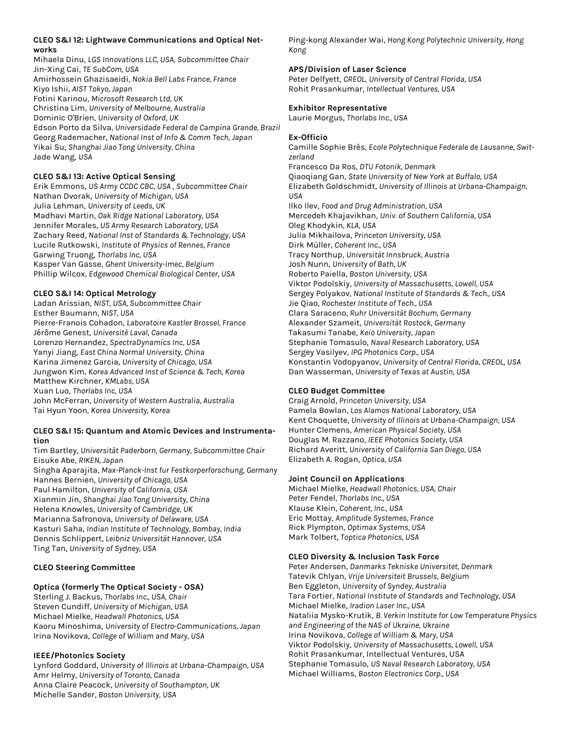#### **CLEO S&I 12: Lightwave Communications and Optical Networks**

Mihaela Dinu, *LGS Innovations LLC, USA, Subcommittee Chair* Jin-Xing Cai, *TE SubCom, USA* Amirhossein Ghazisaeidi, *Nokia Bell Labs France, France* Kiyo Ishii, *AIST Tokyo, Japan* Fotini Karinou, *Microsoft Research Ltd, UK* Christina Lim, *University of Melbourne, Australia* Dominic O'Brien, *University of Oxford, UK* Edson Porto da Silva, *Universidade Federal de Campina Grande, Brazil* Georg Rademacher, *National Inst of Info & Comm Tech, Japan* Yikai Su, *Shanghai Jiao Tong University, China* Jade Wang, *USA*

#### **CLEO S&I 13: Active Optical Sensing**

Erik Emmons, *US Army CCDC CBC, USA , Subcommittee Chair* Nathan Dvorak, *University of Michigan, USA* Julia Lehman, *University of Leeds, UK* Madhavi Martin, *Oak Ridge National Laboratory, USA* Jennifer Morales, *US Army Research Laboratory, USA* Zachary Reed, *National Inst of Standards & Technology, USA* Lucile Rutkowski, *Institute of Physics of Rennes, France* Garwing Truong, *Thorlabs Inc, USA* Kasper Van Gasse, *Ghent University-imec, Belgium* Phillip Wilcox, *Edgewood Chemical Biological Center, USA*

#### **CLEO S&I 14: Optical Metrology**

Ladan Arissian, *NIST, USA, Subcommittee Chair* Esther Baumann, *NIST, USA* Pierre-Franois Cohadon, *Laboratoire Kastler Brossel, France* Jérôme Genest, *Université Laval, Canada* Lorenzo Hernandez, *SpectraDynamics Inc, USA* Yanyi Jiang, *East China Normal University, China* Karina Jimenez Garcia, *University of Chicago, USA* Jungwon Kim, *Korea Advanced Inst of Science & Tech, Korea* Matthew Kirchner, *KMLabs, USA* Xuan Luo, *Thorlabs Inc, USA* John McFerran, *University of Western Australia, Australia* Tai Hyun Yoon, *Korea University, Korea*

#### **CLEO S&I 15: Quantum and Atomic Devices and Instrumentation**

Tim Bartley, *Universität Paderborn, Germany, Subcommittee Chair* Eisuke Abe, *RIKEN, Japan* Singha Aparajita, *Max-Planck-Inst fur Festkorperforschung, Germany* Hannes Bernien, *University of Chicago, USA* Paul Hamilton, *University of California, USA* Xianmin Jin, *Shanghai Jiao Tong University, China* Helena Knowles, *University of Cambridge, UK* Marianna Safronova, *University of Delaware, USA* Kasturi Saha, *Indian Institute of Technology, Bombay, India* Dennis Schlippert, *Leibniz Universität Hannover, USA* Ting Tan, *University of Sydney, USA*

#### **CLEO Steering Committee**

#### **Optica (formerly The Optical Society - OSA)**

Sterling J. Backus, *Thorlabs Inc., USA, Chair* Steven Cundiff, *University of Michigan, USA* Michael Mielke, *Headwall Photonics, USA* Kaoru Minoshima, *University of Electro-Communications, Japan* Irina Novikova, *College of William and Mary, USA*

#### **IEEE/Photonics Society**

Lynford Goddard, *University of Illinois at Urbana-Champaign, USA* Amr Helmy, *University of Toronto, Canada* Anna Claire Peacock, *University of Southampton, UK* Michelle Sander, *Boston University, USA*

Ping-kong Alexander Wai, *Hong Kong Polytechnic University, Hong Kong*

#### **APS/Division of Laser Science**

Peter Delfyett, *CREOL*, *University of Central Florida, USA* Rohit Prasankumar, *Intellectual Ventures, USA*

#### **Exhibitor Representative**

Laurie Morgus, *Thorlabs Inc., USA*

#### **Ex-Officio**

Camille Sophie Brès, *Ecole Polytechnique Federale de Lausanne, Switzerland* Francesco Da Ros, *DTU Fotonik, Denmark* Qiaoqiang Gan, *State University of New York at Buffalo, USA* Elizabeth Goldschmidt, *University of Illinois at Urbana-Champaign, USA* Ilko Ilev, *Food and Drug Administration, USA* Mercedeh Khajavikhan, *Univ. of Southern California, USA* Oleg Khodykin*, KLA, USA* Julia Mikhailova, *Princeton University, USA* Dirk Müller, *Coherent Inc., USA* Tracy Northup, *Universität Innsbruck, Austria* Josh Nunn, *University of Bath, UK* Roberto Paiella, *Boston University, USA* Viktor Podolskiy, *University of Massachusetts, Lowell, USA* Sergey Polyakov, *National Institute of Standards & Tech., USA* Jie Qiao, *Rochester Institute of Tech., USA* Clara Saraceno, *Ruhr Universität Bochum, Germany* Alexander Szameit, *Universität Rostock, Germany* Takasumi Tanabe, *Keio University, Japan* Stephanie Tomasulo, *Naval Research Laboratory, USA* Sergey Vasilyev, *IPG Photonics Corp., USA* Konstantin Vodopyanov, *University of Central Florida, CREOL, USA* Dan Wasserman, *University of Texas at Austin, USA*

#### **CLEO Budget Committee**

Craig Arnold, *Princeton University, USA* Pamela Bowlan, *Los Alamos National Laboratory, USA* Kent Choquette, *University of Illinois at Urbana-Champaign, USA* Hunter Clemens, *American Physical Society, USA* Douglas M. Razzano, *IEEE Photonics Society, USA* Richard Averitt, *University of California San Diego, USA* Elizabeth A. Rogan, *Optica, USA*

#### **Joint Council on Applications**

Michael Mielke, *Headwall Photonics, USA, Chair* Peter Fendel, *Thorlabs Inc., USA* Klause Klein, *Coherent, Inc., USA* Eric Mottay, *Amplitude Systemes, France* Rick Plympton, *Optimax Systems, USA* Mark Tolbert, *Toptica Photonics, USA*

#### **CLEO Diversity & Inclusion Task Force**

Peter Andersen, *Danmarks Tekniske Universitet, Denmark* Tatevik Chlyan, *Vrije Universiteit Brussels, Belgium* Ben Eggleton, *University of Syndey, Australia*  Tara Fortier, *National Institute of Standards and Technology, USA* Michael Mielke, *Iradion Laser Inc., USA* Nataliia Mysko-Krutik, *B. Verkin Institute for Low Temperature Physics and Engineering of the NAS of Ukraine, Ukraine* Irina Novikova, *College of William & Mary, USA*  Viktor Podolskiy, *University of Massachusetts, Lowell, USA* Rohit Prasankumar, Intellectual Ventures, USA Stephanie Tomasulo, *US Naval Research Laboratory, USA* Michael Williams, *Boston Electronics Corp., USA*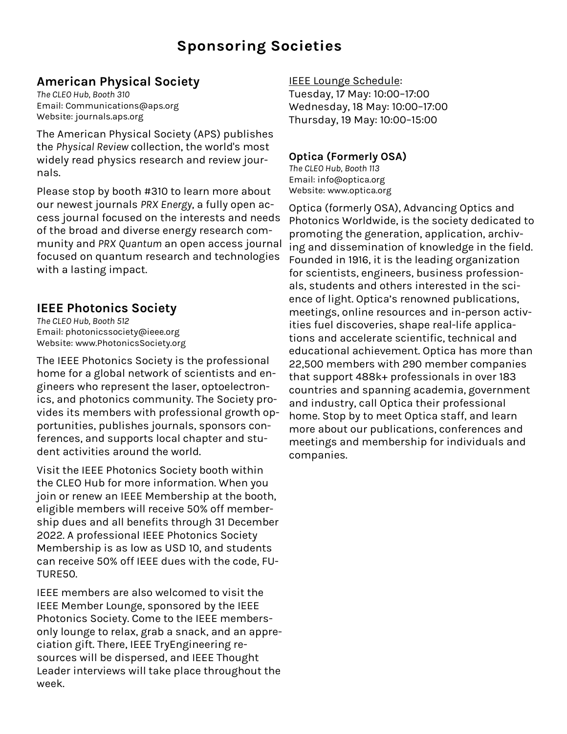### **Sponsoring Societies**

### **American Physical Society**

*The CLEO Hub, Booth 310* Email: Communications@aps.org Website: journals.aps.org

The American Physical Society (APS) publishes the *Physical Review* collection, the world's most widely read physics research and review journals.

Please stop by booth #310 to learn more about our newest journals *PRX Energy*, a fully open access journal focused on the interests and needs of the broad and diverse energy research community and *PRX Quantum* an open access journal focused on quantum research and technologies with a lasting impact.

### **IEEE Photonics Society**

*The CLEO Hub, Booth 512* Email: photonicssociety@ieee.org Website: www.PhotonicsSociety.org

The IEEE Photonics Society is the professional home for a global network of scientists and engineers who represent the laser, optoelectronics, and photonics community. The Society provides its members with professional growth opportunities, publishes journals, sponsors conferences, and supports local chapter and student activities around the world.

Visit the IEEE Photonics Society booth within the CLEO Hub for more information. When you join or renew an IEEE Membership at the booth, eligible members will receive 50% off membership dues and all benefits through 31 December 2022. A professional IEEE Photonics Society Membership is as low as USD 10, and students can receive 50% off IEEE dues with the code, FU-TURE50.

IEEE members are also welcomed to visit the IEEE Member Lounge, sponsored by the IEEE Photonics Society. Come to the IEEE membersonly lounge to relax, grab a snack, and an appreciation gift. There, IEEE TryEngineering resources will be dispersed, and IEEE Thought Leader interviews will take place throughout the week.

### IEEE Lounge Schedule:

Tuesday, 17 May: 10:00–17:00 Wednesday, 18 May: 10:00–17:00 Thursday, 19 May: 10:00–15:00

### **Optica (Formerly OSA)**

*The CLEO Hub, Booth 113* Email: info@optica.org Website: www.optica.org

Optica (formerly OSA), Advancing Optics and Photonics Worldwide, is the society dedicated to promoting the generation, application, archiving and dissemination of knowledge in the field. Founded in 1916, it is the leading organization for scientists, engineers, business professionals, students and others interested in the science of light. Optica's renowned publications, meetings, online resources and in-person activities fuel discoveries, shape real-life applications and accelerate scientific, technical and educational achievement. Optica has more than 22,500 members with 290 member companies that support 488k+ professionals in over 183 countries and spanning academia, government and industry, call Optica their professional home. Stop by to meet Optica staff, and learn more about our publications, conferences and meetings and membership for individuals and companies.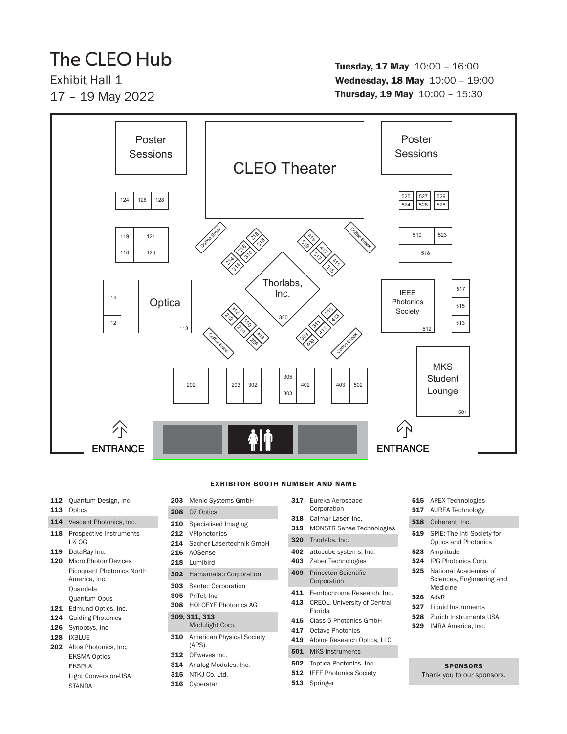## The CLEO Hub

Exhibit Hall 1 17 – 19 May 2022

#### Tuesday, 17 May 10:00 – 16:00 Wednesday, 18 May 10:00 - 19:00 Thursday, 19 May 10:00 – 15:30



#### EXHIBITOR BOOTH NUMBER AND NAME

#### 112 Quantum Design, Inc.

- 113 Optica
- 114 Vescent Photonics, Inc.
- 118 Prospective Instruments LK OG
- 119 DataRay Inc.
- 120 Micro Photon Devices Picoquant Photonics North America, Inc. Quandela Quantum Opus
- 121 Edmund Optics, Inc.
- 124 Guiding Photonics
- 126 Synopsys, Inc.
- 128 IXBLUE
- 202 Altos Photonics, Inc. EKSMA Optics EKSPLA Light Conversion-USA **STANDA**
- 203 Menlo Systems GmbH
- 208 OZ Optics
- 210 Specialised Imaging 212 VPIphotonics
- 214 Sacher Lasertechnik GmbH
- 216 AOSense
- 218 Lumibird
- 
- 302 Hamamatsu Corporation
- 303 Santec Corporation
- 305 PriTel, Inc.
- 308 HOLOEYE Photonics AG

#### 309, 311, 313 Modulight Corp.

- 310 American Physical Society (APS)
- 312 OEwaves Inc.
- 314 Analog Modules, Inc.
- 315 NTKJ Co. Ltd.
- 316 Cyberstar
- 317 Eureka Aerospace Corporation 318 Calmar Laser, Inc.
- 
- 319 MONSTR Sense Technologies
- 320 Thorlabs, Inc.
- 402 attocube systems, Inc.
- 403 Zaber Technologies
- 409 Princeton Scientific Corporation
- 411 Femtochrome Research, Inc.
- 413 CREOL, University of Central Florida
- 415 Class 5 Photonics GmbH
- 417 Octave Photonics
- 419 Alpine Research Optics, LLC

- 
- **512** IEEE Photonics Society
- 513 Springer

515 APEX Technologies 517 AUREA Technology 518 Coherent, Inc. 519 SPIE: The Intl Society for Optics and Photonics 523 Amplitude 524 IPG Photonics Corp. 525 National Academies of Sciences, Engineering and Medicine 526 AdvR 527 Liquid Instruments **528** Zurich Instruments USA 529 IMRA America, Inc.

#### **SPONSORS**

- Thank you to our sponsors.
- 501 MKS Instruments 502 Toptica Photonics, Inc.

- 
-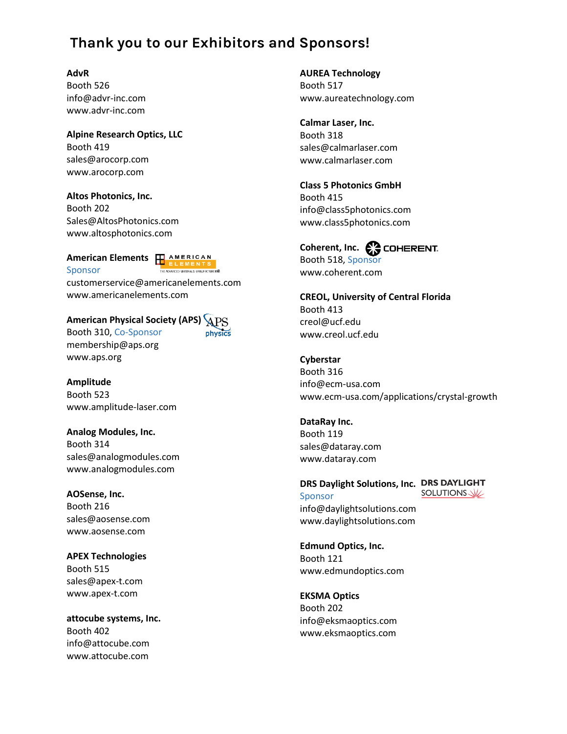### **Thank you to our Exhibitors and Sponsors!**

#### **AdvR**

Booth 526 info@advr-inc.com www.advr-inc.com

**Alpine Research Optics, LLC** Booth 419 sales@arocorp.com www.arocorp.com

**Altos Photonics, Inc.** Booth 202 Sales@AltosPhotonics.com www.altosphotonics.com

#### **American Elements H** AMERICAN Sponsor



physics

customerservice@americanelements.com www.americanelements.com

#### **American Physical Society (APS)**

Booth 310, Co-Sponsor membership@aps.org www.aps.org

**Amplitude** Booth 523 www.amplitude-laser.com

**Analog Modules, Inc.** Booth 314 sales@analogmodules.com www.analogmodules.com

**AOSense, Inc.** Booth 216 sales@aosense.com www.aosense.com

**APEX Technologies** Booth 515 sales@apex-t.com www.apex-t.com

**attocube systems, Inc.** Booth 402 info@attocube.com www.attocube.com

**AUREA Technology** Booth 517 www.aureatechnology.com

**Calmar Laser, Inc.** Booth 318 sales@calmarlaser.com www.calmarlaser.com

**Class 5 Photonics GmbH** Booth 415 info@class5photonics.com www.class5photonics.com

Coherent, Inc. **C<sub>C</sub>** COHERENT. Booth 518, Sponsor www.coherent.com

**CREOL, University of Central Florida** Booth 413 creol@ucf.edu www.creol.ucf.edu

#### **Cyberstar**

Booth 316 info@ecm-usa.com www.ecm-usa.com/applications/crystal-growth

**DataRay Inc.** Booth 119

sales@dataray.com www.dataray.com

**DRS Daylight Solutions, Inc.** SOLUTIONS Sponsor info@daylightsolutions.com www.daylightsolutions.com

**Edmund Optics, Inc.** Booth 121 www.edmundoptics.com

**EKSMA Optics** Booth 202 info@eksmaoptics.com www.eksmaoptics.com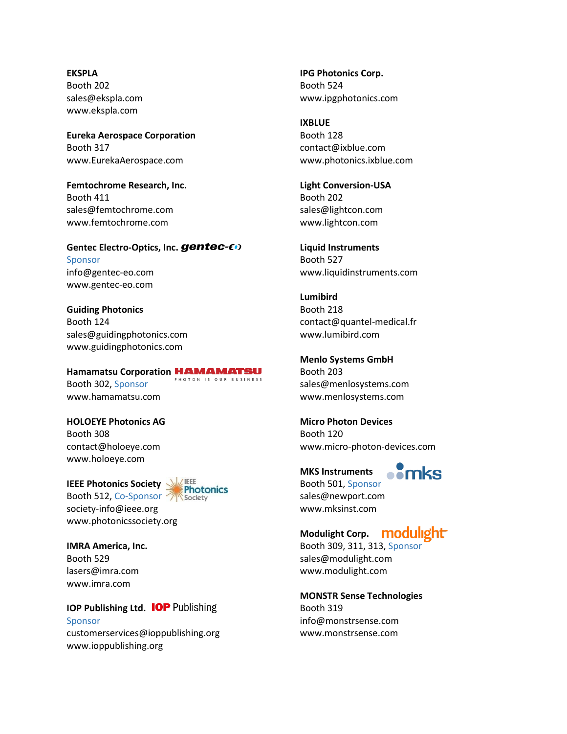**EKSPLA** Booth 202 sales@ekspla.com www.ekspla.com

**Eureka Aerospace Corporation** Booth 317 www.EurekaAerospace.com

**Femtochrome Research, Inc.** Booth 411 sales@femtochrome.com www.femtochrome.com

**Gentec Electro-Optics, Inc.** Sponsor info@gentec-eo.com www.gentec-eo.com

**Guiding Photonics** Booth 124 sales@guidingphotonics.com www.guidingphotonics.com

**Hamamatsu Corporation** PHOTON IS OUR BUSINESS Booth 302, Sponsor www.hamamatsu.com

**HOLOEYE Photonics AG** Booth 308 contact@holoeye.com www.holoeye.com

**IEEE Photonics Society** Booth 512, Co-Sponsor



[society-info@ieee.org](mailto:society-info@ieee.org) www.photonicssociety.org

**IMRA America, Inc.** Booth 529 lasers@imra.com www.imra.com

**IOP Publishing Ltd. IOP Publishing** Sponsor customerservices@ioppublishing.org www.ioppublishing.org

**IPG Photonics Corp.** Booth 524 www.ipgphotonics.com

**IXBLUE** Booth 128 contact@ixblue.com www.photonics.ixblue.com

**Light Conversion-USA** Booth 202 sales@lightcon.com www.lightcon.com

**Liquid Instruments** Booth 527 www.liquidinstruments.com

**Lumibird** Booth 218 contact@quantel-medical.fr www.lumibird.com

**Menlo Systems GmbH** Booth 203 sales@menlosystems.com www.menlosystems.com

**Micro Photon Devices** Booth 120 www.micro-photon-devices.com

 $\blacksquare$ **MKS Instruments** Booth 501, Sponsor sales@newport.com www.mksinst.com

**Modulight Corp.**

Booth 309, 311, 313, Sponsor sales@modulight.com www.modulight.com

**MONSTR Sense Technologies** Booth 319 info@monstrsense.com www.monstrsense.com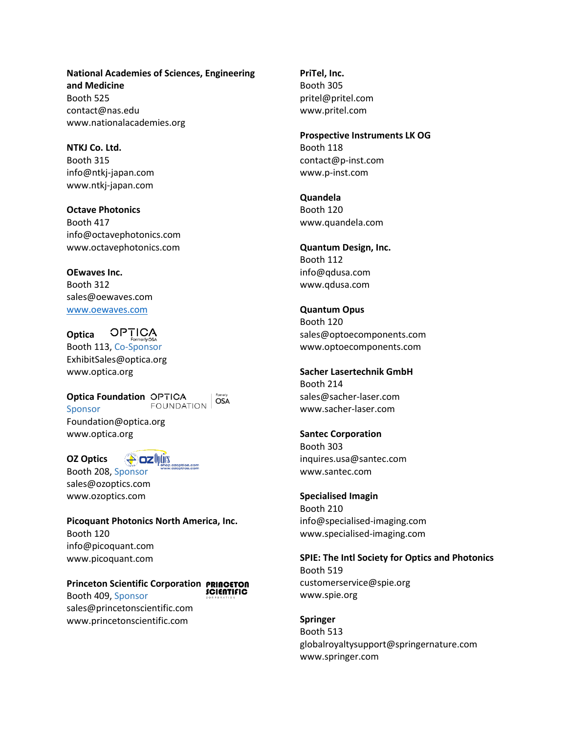**National Academies of Sciences, Engineering and Medicine** Booth 525 contact@nas.edu www.nationalacademies.org

**NTKJ Co. Ltd.** Booth 315 info@ntkj-japan.com www.ntkj-japan.com

**Octave Photonics** Booth 417 info@octavephotonics.com www.octavephotonics.com

**OEwaves Inc.** Booth 312 sales@oewaves.com [www.oewaves.com](http://www.oewaves.com/)

**OPTICA Optica** Booth 113, Co-Sponsor ExhibitSales@optica.org www.optica.org

**Optica Foundation** FOUNDATION Sponsor Foundation@optica.org www.optica.org

**A** ozhtics **OZ Optics** Booth 208, Sponsor

sales@ozoptics.com www.ozoptics.com

**Picoquant Photonics North America, Inc.** Booth 120 info@picoquant.com www.picoquant.com

OSA

**Princeton Scientific Corporation SCIENTIFIC** Booth 409, Sponsor sales@princetonscientific.com www.princetonscientific.com

**PriTel, Inc.** Booth 305 pritel@pritel.com www.pritel.com

**Prospective Instruments LK OG** Booth 118 contact@p-inst.com www.p-inst.com

**Quandela** Booth 120 www.quandela.com

**Quantum Design, Inc.** Booth 112 info@qdusa.com www.qdusa.com

**Quantum Opus** Booth 120 sales@optoecomponents.com www.optoecomponents.com

**Sacher Lasertechnik GmbH** Booth 214 sales@sacher-laser.com www.sacher-laser.com

**Santec Corporation** Booth 303 inquires.usa@santec.com www.santec.com

**Specialised Imagin** Booth 210 info@specialised-imaging.com www.specialised-imaging.com

**SPIE: The Intl Society for Optics and Photonics** Booth 519 customerservice@spie.org

www.spie.org **Springer** Booth 513 globalroyaltysupport@springernature.com

www.springer.com